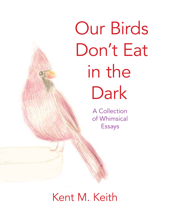Our Birds Don't Eat in the Dark

> A Collection of Whimsical Essays

Kent M. Keith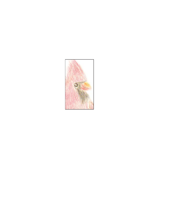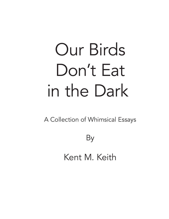# Our Birds Don't Eat in the Dark

A Collection of Whimsical Essays

# By

Kent M. Keith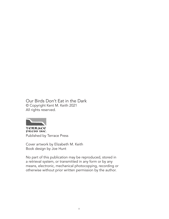Our Birds Don't Eat in the Dark © Copyright Kent M. Keith 2021 All rights reserved.



TERRACE **PRESS INC.** Published by Terrace Press

Cover artwork by Elizabeth M. Keith Book design by Joe Hunt

No part of this publication may be reproduced, stored in a retrieval system, or transmitted in any form or by any means, electronic, mechanical photocopying, recording or otherwise without prior written permission by the author.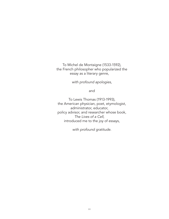To Michel de Montaigne (1533-1592), the French philosopher who popularized the essay as a literary genre,

*with profound apologies,*

and

To Lewis Thomas (1913-1993), the American physician, poet, etymologist, administrator, educator, policy advisor, and researcher whose book, *The Lives of a Cell,* introduced me to the joy of essays,

*with profound gratitude.*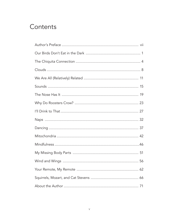## Contents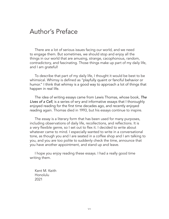#### Author's Preface

There are a lot of serious issues facing our world, and we need to engage them. But sometimes, we should stop and enjoy all the things in our world that are amusing, strange, cacophonous, random, contradictory, and fascinating. Those things make up part of my daily life, and I am grateful!

To describe that part of my daily life, I thought it would be best to be whimsical. Whimsy is defined as "playfully quaint or fanciful behavior or humor." I think that whimsy is a good way to approach a lot of things that happen in real life.

The idea of writing essays came from Lewis Thomas, whose book, *The Lives of a Cell*, is a series of wry and informative essays that I thoroughly enjoyed reading for the first time decades ago, and recently enjoyed reading again. Thomas died in 1993, but his essays continue to inspire.

The essay is a literary form that has been used for many purposes, including observations of daily life, recollections, and reflections. It is a very flexible genre, so I set out to flex it. I decided to write about whatever came to mind. I especially wanted to write in a conversational tone, as though you and I are seated in a coffee shop and I am talking to you, and you are too polite to suddenly check the time, announce that you have another appointment, and stand up and leave.

I hope you enjoy reading these essays. I had a really good time writing them.

Kent M. Keith Honolulu 2021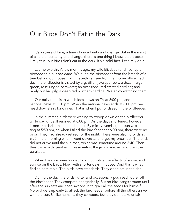#### Our Birds Don't Eat in the Dark

It's a stressful time, a time of uncertainty and change. But in the midst of all the uncertainty and change, there is one thing I know that is absolutely true: our birds don't eat in the dark. It's a solid fact. I can rely on it.

Let me explain. A few months ago, my wife Elizabeth and I set up a birdfeeder in our backyard. We hung the birdfeeder from the branch of a tree behind our house that Elizabeth can see from her home office. Each day, the birdfeeder is visited by a gazillion java sparrows; a dozen large, green, rose-ringed parakeets; an occasional red crested cardinal; and rarely but happily, a deep red northern cardinal. We enjoy watching them.

Our daily ritual is to watch local news on TV at 5:00 pm, and then national news at 5:30 pm. When the national news ends at 6:00 pm, we head downstairs for dinner. That is when I put birdseed in the birdfeeder.

In the summer, birds were waiting to swoop down on the birdfeeder while daylight still reigned at 6:00 pm. As the days shortened, however, it became darker earlier and earlier. By mid-November, the sun was setting at 5:50 pm, so when I filled the bird feeder at 6:00 pm, there were no birds. They had already retired for the night. There were also no birds at 6:25 in the morning when I went downstairs to get my breakfast. The birds did not arrive until the sun rose, which was sometime around 6:40. Then they came with great enthusiasm—first the java sparrows, and then the parakeets.

When the days were longer, I did not notice the effects of sunset and sunrise on the birds. Now, with shorter days, I noticed. And this is what I find so admirable: The birds have standards. They don't eat in the dark.

During the day, the birds flutter and occasionally push each other off the birdfeeder. They compete energetically. But no bird hangs around until after the sun sets and then swoops in to grab all the seeds for himself. No bird gets up early to attack the bird feeder before all the others arrive with the sun. Unlike humans, they compete, but they don't take unfair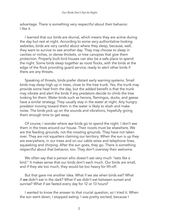advantage. There is something very respectful about their behavior. I like it.

I learned that our birds are diurnal, which means they are active during the day but rest at night. According to some very authoritative-looking websites, birds are very careful about where they sleep, because, well, they want to survive to see another day. They may choose to sleep in cavities or niches, or dense thickets, or tree canopies that give them protection. Properly built bird houses can also be a safe place to spend the night. Some birds sleep together as roost flocks, with the birds at the edge of the flock providing guard service, ready to alert other birds if there are any threats.

Speaking of threats, birds prefer distant early warning systems. Small birds may sleep high up in trees, close to the tree trunk. Yes, the trunk may provide some heat from the day, but the added benefit is that the trunk may vibrate and alert the birds if any predators decide to climb the tree looking for them. Water birds such as herons, flamingos, ducks, and geese have a similar strategy. They usually stay in the water at night. Any hungry predator moving toward them in the water is likely to slosh and make noise. The birds pick up on the sounds and vibrations, hopefully giving them enough time to get away.

Of course, I wonder where *our* birds go to spend the night. I don't see them in the trees around our house. Their roosts must be elsewhere. We are the feeding grounds, not the roosting grounds. They have not taken over. They are not squatters claiming our territory. When the sun is up they are everywhere, in our trees and on our cable wires and telephone lines, squawking and chirping. After the sun goes, they go. There is something respectful about that behavior, too. They don't overstay their welcome.

We often say that a person who doesn't eat very much "eats like a bird." It makes sense that our birds don't each much. Our birds are small, and if they ate too much, they would be too heavy for lift-off.

But that gave me another idea. What if we ate when birds eat? What if *we* didn't eat in the dark? What if we didn't eat between sunset and sunrise? What if we fasted every day for 12 or 13 hours?

I wanted to know the answer to that crucial question, so I tried it. When the sun went down, I stopped eating. I was pretty excited, because I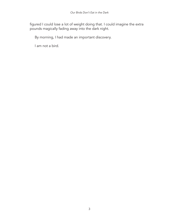figured I could lose a lot of weight doing that. I could imagine the extra pounds magically fading away into the dark night.

By morning, I had made an important discovery.

I am not a bird.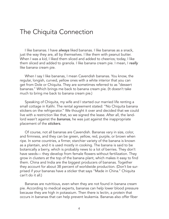### The Chiquita Connection

I like bananas. I have *always* liked bananas. I like bananas as a snack, just the way they are, all by themselves. I like them with peanut butter. When I was a kid, I liked them sliced and added to cheerios; today, I like them sliced and added to granola. I like banana cream pie. I mean, I *really* like banana cream pie.

When I say I like bananas, I mean Cavendish bananas. You know, the regular, longish, curved, yellow ones with a white interior that you can get from Dole or Chiquita. They are sometimes referred to as "dessert bananas." Which brings me back to banana cream pie. (It doesn't take much to bring me back to banana cream pie.)

Speaking of Chiquita, my wife and I started our married life renting a small cottage in Kalihi. The rental agreement stated: "No Chiquita banana stickers on the refrigerator." We thought it over and decided that we could live with a restriction like that, so we signed the lease. After all, the landlord wasn't against the *bananas*, he was just against the inappropriate placement of the *stickers*.

Of course, not all bananas are Cavendish. Bananas vary in size, color, and firmness, and they can be green, yellow, red, purple, or brown when ripe. In some countries, a firmer, starchier variety of the banana is known as a plantain, and it is used mostly in cooking. The banana is said to be botanically a berry, which is probably news to a lot of berries. They don't have seeds— they develop from female flowers without fertilization. They grow in clusters at the top of the banana plant, which makes it easy to find them. China and India are the biggest producers of bananas. Together they account for about 38 percent of worldwide production. (Don't be surprised if your bananas have a sticker that says "Made in China." Chiquita can't do it all.)

Bananas are nutritious, even when they are not found in banana cream pie. According to medical experts, bananas can help lower blood pressure because they are high in potassium. Then there is lectin, a protein that occurs in bananas that can help prevent leukemia. Bananas also offer fiber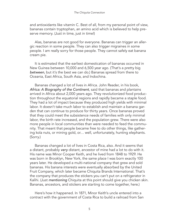and antioxidants like vitamin C. Best of all, from my personal point of view, bananas contain tryptophan, an amino acid which is believed to help preserve memory. (Just in time, just in time!)

Alas, bananas are not good for everyone. Bananas can trigger an allergic reaction in some people. They can also trigger migraines in some people. I am really sorry for those people. They cannot safely eat banana cream pie.

It is estimated that the earliest domestication of bananas occurred in New Guinea between 10,000 and 6,500 year ago. (That's a pretty big *between*, but it's the best we can do.) Bananas spread from there to Oceania, East Africa, South Asia, and Indochina.

Bananas changed a lot of lives in Africa. John Reader, in his book, *Africa: A Biography of the Continent*, said that bananas and plantains arrived in Africa about 2,000 years ago. They revolutionized food production throughout the equatorial regions and rapidly became a staple food. They had a lot of impact because they produced high yields with minimal labor. It doesn't take much labor to establish and maintain a banana garden that can continue to produce for thirty years. Once bananas proved that they could meet the subsistence needs of families with only minimal labor, the birth rate increased, and the population grew. There were also more people in local communities than were needed to feed the community. That meant that people became free to do other things, like gathering kola nuts, or mining gold, or… well, unfortunately, hunting elephants. (Sorry.)

Bananas changed a lot of lives in Costa Rica, also. And it seems that a distant, probably *very* distant, ancestor of mine had a lot to do with it. His name was Minor Cooper Keith, and he lived from 1848 to 1929. He was born in Brooklyn, New York, the same place I was born exactly 100 years later. He developed a multi-national company that grew and sold bananas. His banana interests were eventually absorbed by the United Fruit Company, which later became Chiquita Brands International. That's the company that produces the stickers you can't put on a refrigerator in Kalihi. (Just *mentioning* Chiquita at this point should give you chicken skin. Bananas, ancestors, and stickers are starting to come together, here.)

Here's how it happened. In 1871, Minor Keith's uncle entered into a contract with the government of Costa Rica to build a railroad from San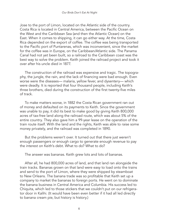Jose to the port of Limon, located on the Atlantic side of the country. Costa Rica is located in Central America, between the Pacific Ocean on the West and the Caribbean Sea (and then the Atlantic Ocean) on the East. When it comes to shipping, it can go either way. At the time, Costa Rica depended on the export of coffee. The coffee was being transported to the Pacific port of Puntarenas, which was inconvenient, since the market for the coffee was in Europe, on the Caribbean/Atlantic side. The Panama Canal had not yet been built, so a railroad to the Caribbean coast was the best way to solve the problem. Keith joined the railroad project and took it over after his uncle died in 1877.

The construction of the railroad was expensive and tragic. The topography, the jungle, the rain, and the lack of financing were bad enough. Even worse were the diseases— malaria, yellow fever, and dysentery— which were deadly. It is reported that four thousand people, including Keith's three brothers, died during the construction of the first twenty-five miles of track.

To make matters worse, in 1882 the Costa Rican government ran out of money and defaulted on its payments to Keith. Since the government was unable to pay, it did its best to make good by giving Keith 800,000 acres of tax-free land along the railroad route, which was about 5% of the entire country. They also gave him a 99-year lease on the operation of the train route itself. With the land and the rights, Keith was able to raise some money privately, and the railroad was completed in 1890.

But the problems weren't over. It turned out that there just weren't enough passengers or enough cargo to generate enough revenue to pay the interest on Keith's debt. What to do? What to do?

The answer was bananas. Keith grew lots and lots of bananas.

After all, he had 800,000 acres of land, and that land ran alongside the train tracks. Bananas grown on that land were easy to load onto the trains and send to the port of Limon, where they were shipped by steamboat to New Orleans. The banana trade was so profitable that Keith set up a company to market the bananas to foreign ports. He went on to dominate the banana business in Central America and Columbia. His success led to Chiquita, which led to those stickers that we couldn't put on our refrigerator door in Kalihi. (It would have been even better if it had all led directly to banana cream pie, but history is history.)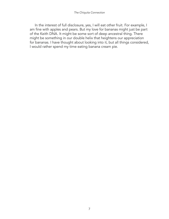In the interest of full disclosure, yes, I will eat other fruit. For example, I am fine with apples and pears. But my love for bananas might just be part of the Keith DNA. It might be some sort of deep ancestral thing. There might be something in our double helix that heightens our appreciation for bananas. I have thought about looking into it, but all things considered, I would rather spend my time eating banana cream pie.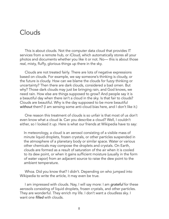#### Clouds

This is about clouds. Not the computer data cloud that provides IT services from a remote hub, or iCloud, which automatically stores all your photos and documents whether you like it or not. No— this is about those real, misty, fluffy, glorious things up there in the sky.

Clouds are not treated fairly. There are lots of negative expressions based on clouds. For example, we say someone's thinking is cloudy, or the future is cloudy. How can we blame the clouds for fuzzy thinking or uncertainty? Then there are dark clouds, considered a bad omen. But why? Those dark clouds may just be bringing rain, and God knows, we need rain. How else are things supposed to grow? And people say it is a beautiful day when there isn't a cloud in the sky. Is that fair to clouds? Clouds are beautiful. Why is the day supposed to be more beautiful *without* them? (I am sensing some anti-cloud bias here, and I don't like it.)

One reason this treatment of clouds is so unfair is that most of us don't even know what a cloud *is*. Can you describe a cloud? Well, I couldn't either, so I looked it up. Here is what our friends at Wikipedia have to say:

In meteorology, a cloud is an aerosol consisting of a visible mass of minute liquid droplets, frozen crystals, or other particles suspended in the atmosphere of a planetary body or similar space. Water or various other chemicals may compose the droplets and crystals. On Earth, clouds are formed as a result of saturation of the air when it is cooled to its dew point, or when it gains sufficient moisture (usually in the form of water vapor) from an adjacent source to raise the dew point to the ambient temperature.

Whoa. Did you know that? I didn't. Depending on who jumped into Wikipedia to write the article, it may even be true.

I am impressed with clouds. Nay, I will say more: I am *grateful* for these aerosols consisting of liquid droplets, frozen crystals, and other particles. They are wonderful. They enrich my life. I don't want a cloudless sky. I want one filled with clouds.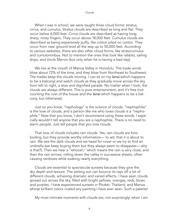*Clouds*

When I was in school, we were taught three cloud forms: stratus, cirrus, and cumulus. Stratus clouds are described as long and flat. They occur below 6,000 feet. Cirrus clouds are described as having long, sharp, misty fingers. They occur above 18,000 feet. Cumulus clouds are described as being expansively puffy, like cotton piled on cotton. They occur from near ground level all the way up to 50,000 feet. According to various websites, there are also other cloud forms, like stratocumulus and cumulonimbus. Not to mention the ones that look like rabbits, sailing ships, and Uncle Mervin (but only when he is having a bad day).

We live at the mouth of Manoa Valley in Honolulu. The trade winds blow about 72% of the time, and they blow from Northeast to Southwest. The trades keep the clouds moving. I can sit on my *lanai* (which happens to be a balcony) and watch clouds as they gradually move across the sky from left to right, a slow and dignified parade. No matter when I look, the clouds are always different. This is pure entertainment, and it's free (not counting the cost of the house and the *lanai* which happens to be a balcony, but otherwise).

Just so you know, "nephology" is the science of clouds, "nephophilia" is the love of clouds, and a person like me who loves clouds is a "nephophile." Now that you know, I don't recommend using these words. I especially wouldn't tell anyone that you are a nephophile. There is no need to alarm people. Just tell people that you love clouds.

That love of clouds includes rain clouds. Yes, rain clouds are foreboding, but they provide worthy information— to wit, that it is about to rain. We see the dark clouds and we head for cover or we try to find an umbrella (we keep buying them but they always seem to disappear— why is that?). Then we hear a "whoosh," which means the rain is very close, and then the rain arrives, rolling down the valley in successive sheets, often causing rainbows while soaking nearly everything.

Clouds are essential to spectacular sunsets because they give the sky depth and texture. The setting sun can bounce its rays off a lot of different clouds, achieving dramatic and varied effects. I have seen clouds spread out across the sky, filled with bright yellows, oranges, reds, blues and purples. I have experienced sunsets in Phuket, Thailand, and Manoa whose brilliant colors rivaled any painting I have ever seen. Such a palette!

My most intimate moments with clouds are, not surprisingly, when I am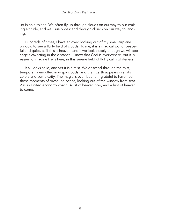up in an airplane. We often fly up through clouds on our way to our cruising altitude, and we usually descend through clouds on our way to landing.

Hundreds of times, I have enjoyed looking out of my small airplane window to see a fluffy field of clouds. To me, it is a magical world, peaceful and quiet, as if this is heaven, and if we look closely enough we will see angels cavorting in the distance. I know that God is everywhere, but it is easier to imagine He is here, in this serene field of fluffy calm whiteness.

It all looks solid, and yet it is a mist. We descend through the mist, temporarily engulfed in wispy clouds, and then Earth appears in all its colors and complexity. The magic is over, but I am grateful to have had those moments of profound peace, looking out of the window from seat 28K in United economy coach. A bit of heaven now, and a hint of heaven to come.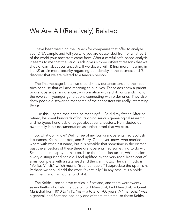#### We Are All (Relatively) Related

I have been watching the TV ads for companies that offer to analyze your DNA sample and tell you who you are descended from or what part of the world your ancestors came from. After a careful sofa-based analysis, it seems to me that the various ads give us three different reasons that we should learn about our ancestry. If we do, we will (1) find more meaning in life; (2) attain more security regarding our identity in the cosmos; and (3) discover that we are related to a famous person.

The first message is that we should know our ancestors and their countries because that will add meaning to our lives. These ads show a parent or grandparent sharing ancestry information with a child or grandchild, or the reverse— younger generations connecting with older ones. They also show people discovering that some of their ancestors did really interesting things.

I like this. I agree that it can be meaningful. So did my father. After he retired, he spent hundreds of hours doing serious genealogical research, and he typed hundreds of pages about our ancestors. He included our own family in his documentation as further proof that we exist.

So, what do I know? Well, three of my four grandparents had Scottish last names: Keith, Johnston, and Berry. One never knows who married whom with what last name, but it is possible that sometime in the distant past the ancestors of these three grandparents had something to do with Scotland. I am happy to think so. I like the Keith clan tartan, which makes a very distinguished necktie. I feel uplifted by the very regal Keith coat of arms, complete with a stag head and the clan motto. The clan motto is "Veritas Vincit," which means "truth conquers." I appreciate the optimism. Perhaps we should add the word "eventually." In any case, it is a noble sentiment, and I am quite fond of it.

The Keiths used to have castles in Scotland, and there were twentyseven Keiths who held the title of Lord Marischal, Earl Marischal, or Great Marischal from 1010 to 1715. Yes— a total of 700 years! A "marischal" was a general, and Scotland had only one of them at a time, so those Keiths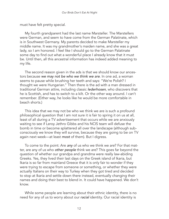must have felt pretty special.

My fourth grandparent had the last name Marsteller. The Marstellers were German, and seem to have come from the German Palatinate, which is in Southwest Germany. My parents decided to make Marsteller my middle name. It was my grandmother's maiden name, and she was a great lady, so I am honored. I feel like I should go to the German Palatinate some day to find out what a wonderful place I already know that it must be. Until then, all this ancestral information has indeed added meaning to my life.

The second reason given in the ads is that we should know our ancestors because *we may not be who we think we are*. In one ad, a woman seems to pause while brushing her teeth and says: "We're Polish? I thought we were Hungarian." Then there is the ad with a man dressed in traditional German attire, including classic lederhosen, who discovers that he is Scottish, and has to switch to a kilt. Or the other way around. I can't remember. (Either way, he looks like he would be more comfortable in beach shorts.)

This idea that we may not be who we think we are is such a profound philosophical question that I am not sure it is fair to spring it on us at all, least of all during a TV advertisement that occurs while we are anxiously waiting to see if Leroy Jethro Gibbs and his NCIS team will defuse the bomb in time or become splattered all over the landscape (although subconsciously we know they will survive, because they are going to be on TV again next week—at least *most* of them). But I digress.

To come to the point: Are *any* of us who we think we are? For that matter, are any of us who *other people* think we are? This goes far beyond the question of whether our grandpa and grandma were really law-abiding Greeks. Yes, they lived their last days on the Greek island of Ikaria, but Ikaria is so far from mainland Greece that it is only fair to wonder if they were trying to escape from someone or something, or whether they were actually Italians on their way to Turkey when they got tired and decided to stop at Ikaria and settle down there instead, eventually changing their names and doing their best to blend in. It could have happened. We don't know.

While some people are learning about their ethnic identity, there is no need for any of us to worry about our *racial* identity. Our racial identity is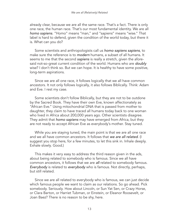already clear, because we are all the same race. That's a fact. There is only one race, the human race. That's our most fundamental identity. We are all *homo sapiens*. "Homo" means "man," and "sapiens" means "wise." That label is hard to defend, given the condition of the world today, but there it is. What can you do?

Some scientists and anthropologists call us *homo sapiens sapiens*, to make sure the reference is to modern humans, a subset of all humans*.* It seems to me that the second *sapiens* is really a stretch, given the aforesaid not-so-great current condition of the world. Humans who are **doubly** wise? I don't think so. But we can hope. It is healthy to have some positive, long-term aspirations.

Since we are all one race, it follows logically that we all have common ancestors. It not only follows logically, it also follows Biblically. Think: Adam and Eve. I rest my case.

Some scientists don't follow Biblically, but they are not to be outdone by the Sacred Book. They have their own Eve, known affectionately as "African Eve." Using mitochondrial DNA that is passed from mother to daughter, they claim to have traced all humans today back to one woman who lived in Africa about 200,000 years ago. Other scientists disagree. They admit that *homo sapiens* may have emerged from Africa, but they are not ready to accept African Eve as everybody's mother. Stay tuned.

While you are staying tuned, the main point is that we are all one race and we all have common ancestors. It follows that we are all related. (I suggest you stop here, for a few minutes, to let this sink in. Inhale deeply. Exhale slowly. Good.)

This makes it very easy to address the third reason given in the ads, about being related to somebody who is famous. Since we all have common ancestors, it follows that we are *all* related to somebody famous. Everybody is related to everybody who is famous. Not directly, perhaps, but still related.

Since we are all related to everybody who is famous, we can just decide which famous people we want to claim as our relations. So go ahead. Pick somebody. Seriously. How about Lincoln, or Sun Yat Sen, or Crazy Horse, or Clara Barton, or Harriet Tubman, or Einstein, or Eleanor Roosevelt, or Joan Baez? There is no reason to be shy, here.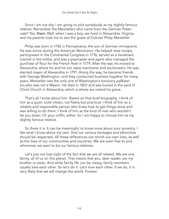Since I am not shy, I am going to pick somebody as my slightly famous relative. Remember the Marstellers who came from the German Palatinate? Yes, *them*. Well, when I was a boy, we lived in Alexandria, Virginia, and my parents took me to see the grave of Colonel Philip Marsteller.

Philip was born in 1742 in Pennsylvania, the son of German immigrants. He was active during the American Revolution. He helped raise troops, participated in the Continental Congress in 1776, served as a lieutenant colonel in the militia, and was a paymaster and agent who managed the purchase of flour for the French fleet in 1779. After the war, he moved to Alexandria, where he and his son were merchants and auctioneers. He was elected mayor of Alexandria in 1791. Along the way, he became friends with George Washington, and they conducted business together for many years. Marsteller was the only one of Washington's honorary pallbearers who was not a Mason. He died in 1803 and was buried in the yard of Christ Church in Alexandria, which is where we visited his grave.

That's all I know about him. Based on that brief biography, I think of him as a quiet, solid citizen, not flashy but practical. I think of him as a reliable and responsible person who knew how to get things done and was willing to do them. I think of him as the kind of man who wouldn't let you down. Or your coffin, either. So I am happy to choose him as my slightly famous relative.

So there it is: It can be meaningful to know more about your ancestry. I like what I know about my own. And our various heritages and ethnicities should be respected. All these differences can enrich our own lives, as well as the lives of our communities and countries. We are even free to pick whomever we want to be our famous relatives.

Let's just not lose sight of the fact that we are all related. We are one family, all of us on this planet. That means that you, dear reader, are my brother or sister. And while family life can be messy, family members usually love each other. So let's do it. Let's love each other. If we do, it is very likely that we will change the world. Forever.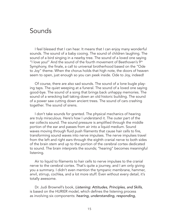#### Sounds

I feel blessed that I can hear. It means that I can enjoy many wonderful sounds. The sound of a baby cooing. The sound of children laughing. The sound of a bird singing in a nearby tree. The sound of a loved one saying "I love you!" And the sound of the fourth movement of Beethoven's  $9<sup>th</sup>$ Symphony, the finale, a call to universal brotherhood based on the "Ode to Joy" theme. When the chorus holds that high note, the doors of heaven seem to open, just enough so you can peek inside. Ode to Joy, indeed!

Of course, there are also sad sounds. The sound of a lone bugle playing taps. The quiet weeping at a funeral. The sound of a loved one saying good-bye. The sound of a song that brings back unhappy memories. The sound of a wrecking ball taking down an old historic building. The sound of a power saw cutting down ancient trees. The sound of cars crashing together. The sound of sirens.

I don't take sounds for granted. The physical mechanics of hearing are truly miraculous. Here's how I understand it. The outer part of the ear collects sound. The sound pressure is amplified through the middle portion of the ear and passes from air into a liquid medium. Sound waves moving through fluid push filaments that cause hair cells to fire, transforming sound waves into nerve impulses. The nerve impulses travel from the left and right ears through the eighth cranial nerve to both sides of the brain stem and up to the portion of the cerebral cortex dedicated to sound. The brain interprets the sounds; "hearing" becomes meaningful listening.

Air to liquid to filaments to hair cells to nerve impulses to the cranial nerve to the cerebral cortex. That's quite a journey, and I am only giving you a summary. I didn't even mention the tympanic membrane, hammer, anvil, stirrup, cochlea, and a lot more stuff. Even without every detail, it's totally awesome.

Dr. Judi Brownell's book, Listening: Attitudes, Principles, and Skills, is based on the HURIER model, which defines the listening process as involving six components: hearing, understanding, responding,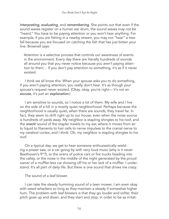interpreting, evaluating, and *remembering.* She points out that even if the sound waves register on a human ear drum, the sound waves may not be "heard." You have to be paying attention or you won't hear anything. For example, if you are fishing in a nearby stream, you may not "hear" a tree fall because you are focused on catching the fish that has just bitten your line. Brownell says:

Attention is a selective process that controls our awareness of events in the environment. Every day there are literally hundreds of sounds all around you that you never notice because you aren't paying attention to them… If you don't pay attention to something, it's as if it never existed.

I think we all know this. When your spouse asks you to do something, if you aren't paying attention, you really don't hear. It's as though your spouse's request never existed. (Okay, okay, you're right— it's not an *excuse*, it's just an *explanation*.)

I am sensitive to sounds, so I notice a lot of them. My wife and I live on the side of a hill in a mostly quiet neighborhood. Perhaps because the neighborhood is usually quiet, when there are sounds, they travel far. In fact, they seem to drift right up to our house, even when the noise source is hundreds of yards away. My neighbor is stapling shingles to his roof, and the *snack!* sound of the stapler travels to my ear, where it moves from air to liquid to filaments to hair cells to nerve impulses to the cranial nerve to my cerebral cortex, and I think: Oh, my neighbor is stapling shingles to his roof.

On a typical day, we get to hear someone enthusiastically wielding a power saw, or a car going by with very loud music (why is it never Beethoven's 9<sup>th</sup>?), or the sirens of police cars or fire trucks heading into the valley, or the noise in the middle of the night generated by the proud owner of a muffler-less car showing off his or her lack of a muffler. I understand. It's all part of daily life. But there is one sound that drives me crazy.

The sound of a leaf blower.

I can take the steady humming sound of a lawn mower. I am even okay with weed whackers so long as they maintain a steady if somewhat higher hum. The problem with leaf blowers is that they go louder and softer, their pitch goes up and down, and they start and stop, in order to be as irritat-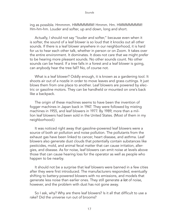ing as possible. Hmmmm. HMMMMMM! Hmmm. Hm. HMMMMMMM! Hm-hm-hm. Louder and softer, up and down, long and short.

Actually, I should not say "louder and softer," because even when it is softer, the sound of a leaf blower is so loud that it knocks out all other sounds. If there is a leaf blower anywhere in our neighborhood, it is hard for us to hear each other talk, whether in person or on Zoom. It takes over the entire environment. It dominates. It does not care that we might prefer to be hearing more pleasant sounds. No other sounds count. No other sounds can be heard. If a tree falls in a forest and a leaf blower is going, can anybody hear the tree fall? No, of course not.

What is a leaf blower? Oddly enough, it is known as a gardening tool. It shoots air out of a nozzle in order to move leaves and grass cuttings. It just blows them from one place to another. Leaf blowers are powered by electric or gasoline motors. They can be handheld or mounted on one's back like a backpack.

The origin of these machines seems to have been the invention of fogger machines in Japan back in 1947. They were followed by misting machines in 1955, and leaf blowers in 1977. By 1989, more than a million leaf blowers had been sold in the United States. (Most of them in my neighborhood.)

It was noticed right away that gasoline-powered leaf blowers were a source of both air pollution and noise pollution. The pollutants from the exhaust gas have been linked to cancer, heart disease, and asthma. Leaf blowers also generate dust clouds that potentially contain substances like pesticides, mold, and animal fecal matter that can cause irritation, allergies, and disease. As for noise, leaf blowers can emit noise at levels above those that can cause hearing loss for the operator as well as people who happen to be nearby.

It should not be a surprise that leaf blowers were banned in a few cities after they were first introduced. The manufacturers responded, eventually shifting to battery-powered blowers with no emissions, and models that generate less noise than earlier ones. They still generate *a lot* of noise, however, and the problem with dust has not gone away.

So I ask, why? Why are there leaf blowers? Is it all that difficult to use a rake? Did the universe run out of brooms?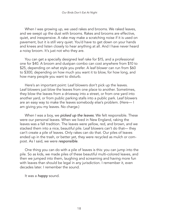When I was growing up, we used rakes and brooms. We raked leaves, and we swept up the dust with brooms. Rakes and brooms are effective, quiet, and inexpensive. A rake may make a scratching noise if it is used on pavement, but it is still very quiet. You'd have to get down on your hands and knees and listen closely to hear anything at all. And I have never heard a noisy broom. It's just not who they are.

You can get a specially designed leaf rake for \$15, and a professional one for \$40. A broom and dustpan combo can cost anywhere from \$10 to \$25, depending on what style you prefer. A leaf blower can run from \$60 to \$300, depending on how much you want it to blow, for how long, and how many people you want to disturb.

Here's an important point: Leaf blowers don't pick up the leaves. Leaf blowers just blow the leaves from one place to another. Sometimes, they blow the leaves from a driveway into a street, or from one yard into another yard, or from public parking stalls into a public park. Leaf blowers are an easy way to make the leaves somebody else's problem. (Here— I am giving you my leaves. No charge.)

When I was a boy, we picked up the leaves. We felt responsible. These were our personal leaves. When we lived in New England, raking the leaves was a fall tradition. The leaves were yellow, red, and brown, and we stacked them into a nice, beautiful pile. Leaf blowers can't do that— they can't create a pile of leaves. Only rakes can do that. Our piles of leaves ended up in the trash, or better yet, they were recycled as mulch or compost. As I said, we were *responsible*.

One thing you can do with a pile of leaves is this: you can jump into the pile. So as kids, we made piles of these beautiful multi-colored leaves, and then we jumped into them, laughing and screaming and having more fun with leaves than should be legal in any jurisdiction. I remember it, even decades later. I remember the sound.

It was a *happy* sound.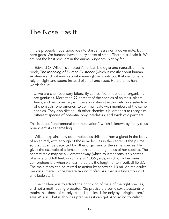#### The Nose Has It

It is probably not a good idea to start an essay on a down note, but here goes: We humans have a lousy sense of smell. There it is. I said it. We are not the best smellers in the animal kingdom. Not by far.

Edward O. Wilson is a noted American biologist and naturalist. In his book, *The Meaning of Human Existence* (which is mostly about human existence and not much about meaning), he points out that we humans rely on sight and sound instead of smell and taste. Here are his harsh words for us:

… we are chemosensory idiots. By comparison most other organisms are geniuses. More than 99 percent of the species of animals, plants, fungi, and microbes rely exclusively or almost exclusively on a selection of chemicals (pheromones) to communicate with members of the same species. They also distinguish other chemicals (allomones) to recognize different species of potential prey, predators, and symbiotic partners.

This is about "pheromonal communication," which is known by many of us non-scientists as "smelling."

Wilson explains how odor molecules drift out from a gland in the body of an animal, with enough of those molecules in the center of the plume so that it can be detected by other organisms of the same species. He gives the example of a female moth summoning males of her species. The nearest male may be a kilometer away (which to Americans is six-tenths of a mile or 3,168 feet, which is also 1,056 yards, which only becomes comprehensible when we learn that it is the length of ten football fields). The male moth can be stirred to action by as few as 1.3 million molecules per cubic meter. Since we are talking *molecules*, that is a tiny amount of smellable stuff.

The challenge is to attract the right kind of male of the right species, and not a moth-eating predator. "So precise are some sex attractants of moths that those of closely related species differ only by a single atom," says Wilson. That is about as precise as it can get. According to Wilson,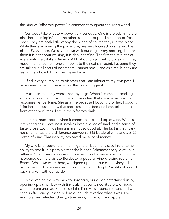this kind of "olfactory power" is common throughout the living world.

Our dogs take olfactory power very seriously. One is a black miniature pinscher or "minpin," and the other is a maltese-poodle combo or "maltipoo." They are both little yappy dogs, and of course they run the place. While they are running the place, they are very focused on smelling the place. *Every* place. We say that we walk our dogs every morning, but for them it is not about walking, it is about sniffing. The first ten minutes of every walk is a total *snifferama*. All that our dogs want to do is sniff. They move in a trance from one sniffpoint to the next sniffpoint. I assume they are taking in all sorts of odors that I cannot smell, and as a result, they are learning a whole lot that I will never know.

I find it very humbling to discover that I am inferior to my own pets. I have never gone for therapy, but this could trigger it.

 Alas, I am not only worse than my dogs. When it comes to smelling, I am also worse than most humans. I live in fear that my wife will ask me if I recognize her perfume. She asks me because I bought it for her. I bought it for her because I know that she likes it, not because I can tell it apart from other perfumes. I am in the olfactory dark.

I am not much better when it comes to a related topic: wine. Wine is an interesting case because it involves both a sense of smell and a sense of taste, those two things humans are not so good at. The fact is that I cannot smell or taste the difference between a \$15 bottle of wine and a \$125 bottle of wine. That inability has saved me a lot of money.

My wife is far better than me (in general, but in this case I refer to her ability to smell). It is possible that she is not a "chemosensory idiot" but rather a "chemosensory savant." I suspect this because of something that happened during a visit to Bordeaux, a popular wine-growing region of France. While we were there, we signed up for a tour of the vineyards of Saint-Emilion. There were six of us on the tour, riding to Saint-Emilion and back in a van with our guide.

In the van on the way back to Bordeaux, our guide entertained us by opening up a small box with tiny vials that contained little bits of liquid with different aromas. She passed the little vials around the van, and we each sniffed and guessed before our guide revealed what it was. For example, we detected cherry, strawberry, cinnamon, and apple.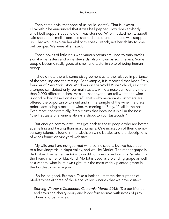Then came a vial that none of us could identify. That is, except Elizabeth. She announced that it was bell pepper. How does anybody smell bell pepper? But she did. I was stunned. When I asked her, Elizabeth said she could smell it because she had a cold and her nose was stopped up. That would explain her ability to speak French, not her ability to smell bell pepper. We were all amazed.

Those boxes of little vials with various scents are used to train professional wine tasters and wine stewards, also known as *sommeliers*. Some people become really good at smell and taste, in spite of being human beings.

I should note there is some disagreement as to the relative importance of the smelling and the tasting. For example, it is reported that Kevin Zraly, founder of New York City's Windows on the World Wine School, said that a tongue can detect only four main tastes, while a nose can identify more than 2,000 different odors. He said that anyone can tell whether a wine is good or bad based on its *smell*. That's why restaurant customers are offered the opportunity to swirl and sniff a sample of the wine in a glass before accepting a bottle of wine. According to Zraly, it's all in the nose! Even more controversially, Zraly claims that because it is all in the nose, "the first taste of a wine is always a shock to your tastebuds."

But enough controversy. Let's get back to those people who are better at smelling and tasting than most humans. One indication of their chemosensory talents is found in the labels on wine bottles and the descriptions of wines found on vineyard websites.

My wife and I are not gourmet wine connoisseurs, but we have been to a few vineyards in Napa Valley, and we like Merlot. The merlot grape is dark blue. The name *merlot* is thought to have come from *merle*, which is the French name for blackbird. Merlot is used as a blending grape as well as a varietal wine in its own right. It is the most widely planted grape in the Bordeaux wine region.

 So far, so good. But wait. Take a look at just three descriptions of Merlot wines at three of the Napa Valley wineries that we have visited:

Sterling Vintner's Collection, California Merlot 2018: "Sip our Merlot and savor the cherry-berry and black fruit aromas with notes of juicy plums and oak spices."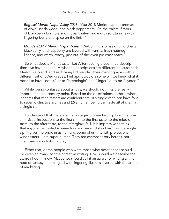Regusci Merlot Napa Valley 2018: "Our 2018 Merlot features aromas of clove, sandalwood, and black peppercorn. On the palate, flavors of blackberry bramble and rhubarb intermingle with soft tannins with lingering berry and spice on the finish."

Mondavi 2017 Merlot Napa Valley: "Welcoming aromas of Bing cherry, blackberry, and raspberry are layered with vanilla, fresh nutmeg, licorice, and warm, toasty, just-out-of-the-oven pie crust notes."

So what does a Merlot taste like? After reading these three descriptions, we have no idea. Maybe the descriptions are different because each Merlot is a blend, and each vineyard blended their merlot grapes with a different set of *other* grapes. Perhaps it would also help if we knew what it meant to have "notes," or to "intermingle" and "linger" or to be "layered."

While being confused about all this, we should not miss the really important chemosensory point. Based on the descriptions of these wines, it seems that wine tasters are confident that (1) a single wine can have four to seven distinctive aromas and (2) a human being can taste *all of them* in a single sip.

I understand that there are many stages of wine tasting, from the presniff visual inspection, to the first sniff, to the first taste, to the middle taste, to the after taste, to the afterglow. Still, it is impressive to think that anyone can taste between four and seven distinct aromas in a single sip. It gives me pride in us humans. Some of us— to wit, professional wine tasters— are super-human! They are chemosensory heroes, not chemosensory idiots. Hooray!

Either that, or the people who write those wine descriptions should be given an award for their creative writing. How should we describe the award? I don't know. Maybe we should call it an award for writing with a note of fantasy intermingled with lingering illusions layered with the aroma of marketing.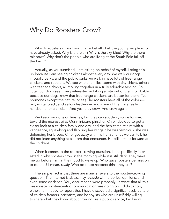#### Why Do Roosters Crow?

Why do roosters crow? I ask this on behalf of all the young people who have already asked: Why is there air? Why is the sky blue? Why are there rainbows? Why don't the people who are living at the South Pole fall off the Earth?

Actually, as you surmised, I am asking on behalf of myself. I bring this up because I am seeing chickens almost every day. We walk our dogs in public parks, and the public parks we walk in have lots of free-range chickens and roosters. We see whole families, some with tiny chicks, others with teenage chicks, all moving together in a truly adorable fashion. So cute! Our dogs seem very interested in taking a bite out of them, probably because our dogs know that free-range chickens are better for them. (No hormones except the natural ones.) The roosters have all of the colors red, white, black, and yellow feathers— and some of them are really handsome for a chicken. And yes, they crow. And crow again.

We keep our dogs on leashes, but they can suddenly surge forward toward the nearest bird. Our miniature pinscher, Chibi, decided to get a closer look at a chicken family one day, and the hen came at him with a vengeance, squawking and flapping her wings. She was ferocious; she was defending her brood. Chibi got away with his life. So far as we can tell, he did not learn anything at all from that encounter. He still lurches forward at the chickens.

When it comes to the rooster crowing question, I am specifically interested in why roosters crow in the morning while it is still dark. They wake me up before I am in the mood to wake up. Who gave roosters permission to do that? I mean, *really*. Who do these roosters think they are?

The simple fact is that there are many answers to the rooster-crowing question. The internet is abuzz (nay, *acluck*) with theories, opinions, and even some evidence. You, dear reader, were probably unaware that all this passionate rooster-centric communication was going on. I didn't know, either. I am happy to report that I have discovered a significant sub-culture of chicken farmers, scientists, and hobbyists who are unselfishly willing to share what they know about crowing. As a public service, I will now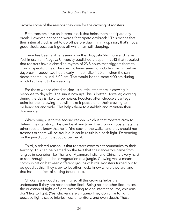provide some of the reasons they give for the crowing of roosters.

First, roosters have an internal clock that helps them anticipate daybreak. However, notice the words "anticipate daybreak." This means that their internal clock is set to go off *before* dawn. In my opinion, that's not a good clock, because it goes off while I am still sleeping.

There has been a little research on this. Tsuyoshi Shinmura and Takashi Yoshimura from Nagoya University published a paper in 2013 that revealed that roosters have a circadian rhythm of 23.8 hours that triggers them to crow at specific times. The specific times seem to include crowing before daybreak— about two hours early, in fact. Like 4:00 am when the sun doesn't come up until 6:00 am. That would be the same 4:00 am during which I still want to be sleeping.

For those whose circadian clock is a little later, there is crowing in response to daylight. The sun is now up! This is better. However, crowing during the day is likely to be noisier. Roosters often choose a vantage point for their crowing that will make it possible for their crowing to be heard far and wide. This helps them to establish and maintain their dominance.

Which brings us to the second reason, which is that roosters crow to defend their territory. This can be at any time. The crowing rooster lets the other roosters know that he is "the cock of the walk," and they should not trespass or there will be trouble. It could result in a cock fight. Depending on the jurisdiction, that could be illegal.

Third, a related reason, is that roosters crow to set boundaries to their territory. This can be blamed on the fact that their ancestors came from jungles in countries like Thailand, Myanmar, India, and China. It is very hard to see through the dense vegetation of a jungle. Crowing was a means of communication between different groups of birds. Roosters turned out to be good at this. They crow to let other flocks know where they are, and that has the effect of setting boundaries.

Chickens are good at hearing, so all this crowing helps them understand if they are near another flock. Being near another flock raises the question of fight or flight. According to one internet source, chickens don't like to fight. (Yes, chickens are *chicken*.) They don't like to fight because fights cause injuries, loss of territory, and even death. Those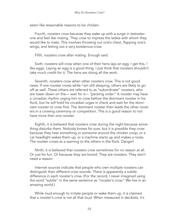seem like reasonable reasons to be chicken.

Fourth, roosters crow because they wake up with a surge in testosterone and feel like mating. They crow to impress the ladies with whom they would like to mate. This involves throwing out one's chest, flapping one's wings, and letting out a very boisterous crow.

Fifth, roosters crow after mating. Enough said.

Sixth, roosters will crow when one of their hens lays an egg. I get this. I like eggs. Laying an egg is a good thing. I just think that roosters shouldn't take much credit for it. The hens are doing all the work.

Seventh, roosters crow when other roosters crow. This is not good news. If one rooster crows while I am still sleeping, others are likely to go off as well. These others are referred to as "subordinate" roosters, who are lower down on the— wait for it— "pecking order." A rooster may have a circadian rhythm urging him to crow before the dominant rooster in his flock, but he will hold his circadian urges in check and wait for the dominant rooster to crow first. The dominant rooster then leads the other roosters in a crowing ceremony or competition. This is a good reason to not have more than one rooster.

Eighth, it is believed that roosters crow during the night because something disturbs them. Nobody knows for sure, but it is possible they crow because they hear something or someone around the chicken coop, or a car headlight wakes them up, or a machine starts up and makes a noise. The rooster crows as a warning to the others in the flock. Danger!

Ninth, it is believed that roosters crow sometimes for no reason at all. Or just for fun. Or because they are bored. They are roosters. They don't need a reason.

Internet sources indicate that people who own multiple roosters can distinguish their different crow sounds. There is apparently a subtle difference in each rooster's crow. (For the record, I never imagined using the word "subtle" in the same sentence as "rooster's crow." We live in an amazing world.)

While loud enough to irritate people or wake them up, it is claimed that a rooster's crow is not all that loud. When measured in decibels, it's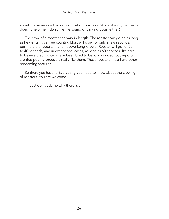about the same as a barking dog, which is around 90 decibels. (That really doesn't help me. I don't like the sound of barking dogs, either.)

The crow of a rooster can vary in length. The rooster can go on as long as he wants. It's a free country. Most will crow for only a few seconds, but there are reports that a Kosovo Long Crower Rooster will go for 20 to 40 seconds, and in exceptional cases, as long as 60 seconds. It's hard to believe that roosters have been bred to be long-winded, but reports are that poultry-breeders really like them. These roosters must have other redeeming features.

So there you have it. Everything you need to know about the crowing of roosters. You are welcome.

Just don't ask me why there is air.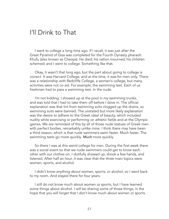#### I'll Drink to That

I went to college a long time ago. If I recall, it was just after the Great Pyramid of Giza was completed for the Fourth Dynasty pharaoh Khufu (also known as Cheops). He died; his nation mourned; his children schemed; and I went to college. Something like that.

Okay, it wasn't that long ago, but the part about going to college is correct. It was Harvard College, and at the time, it was for men only. There was a relationship with Radcliffe College, a women's college, but many activities were not co-ed. For example, the swimming test. Each of us freshmen had to pass a swimming test. In the nude.

I'm not kidding. I showed up at the pool in my swimming trunks, and was told that I had to take them off before I dove in. The official explanation was that lint from swimming suits clogged up the drains, so swimming suits were banned. The unstated but more likely explanation was the desire to adhere to the Greek ideal of beauty, which included nudity while exercising or performing on athletic fields and at the Olympic games. We are reminded of this by all of those nude statues of Greek men with perfect bodies, remarkably unlike mine. I think there may have been a third reason, which is that nude swimmers swim faster. Much faster. The swimming tests go more quickly. *Much* more quickly.

So there I was at this weird college for men. During the first week there was a social event so that we nude swimmers could get to know each other with our clothes on. I dutifully showed up, shook a few hands, and listened. After half an hour, it was clear that the three main topics were women, sports, and alcohol.

I didn't know anything about women, sports, or alcohol, so I went back to my room. And stayed there for four years.

I still do not know much about women or sports, but I have learned some things about alcohol. I will be sharing some of those things, in the hope that you will forget that I don't know much about women or sports.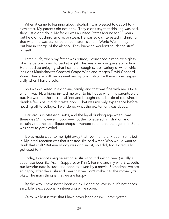When it came to learning about alcohol, I was blessed to get off to a slow start. My parents did not drink. They didn't say that drinking was bad, they just didn't do it. My father was a United States Marine for 30 years, but he did not drink, smoke, or swear. He was so disinterested in drinking that when he was stationed on Johnston Island in World War II, they put him in charge of the alcohol. They knew he wouldn't touch the stuff himself.

Later in life, when my father was retired, I convinced him to try a glass of wine before going to bed at night. This was a very risqué step for him. He ended up enjoying what I call the "cough syrup" variety of wine, which includes Manischewitz Concord Grape Wine and Mogen David Concord Wine. They are both very sweet and syrupy. I also like these wines, especially when I have a cold.

So I wasn't raised in a drinking family, and that was fine with me. Once, when I was 14, a friend invited me over to his house when his parents were out. He went to the secret cabinet and brought out a bottle of red wine. I drank a few sips. It didn't taste good. That was my only experience before heading off to college. I wondered what the excitement was about.

Harvard is in Massachusetts, and the legal drinking age when I was there was 21. However, nobody— not the college administration and certainly not the local liquor shops— wanted to enforce the age limit. So it was easy to get alcohol.

It was made clear to me right away that *real* men drank beer. So I tried it. My initial reaction was that it tasted like bad water. Who would want to drink that stuff? But everybody was drinking it, so I did, too. I gradually got used to it.

Today, I cannot imagine eating *sushi* without drinking beer (usually a Japanese beer like Asahi, Sapporo, or Kirin). For me and my wife Elizabeth, our favorite date is sushi and beer, followed by a movie. Sometimes we are so happy after the sushi and beer that we don't make it to the movie. (It's okay. The main thing is that we are happy.)

By the way, I have never been drunk. I don't believe in it. It's not necessary. Life is exceptionally interesting while sober.

Okay, while it is true that I have never been drunk, I have gotten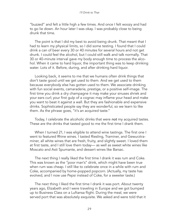#### *I'll Drink to That*

"buzzed" and felt a little high a few times. And once I felt woozy and had to go lie down. An hour later I was okay. I was probably close to being drunk that time.

The point is that I did my best to avoid being drunk. That meant that I had to learn my physical limits, so I did some testing. I found that I could drink a can of beer every 30 or 40 minutes for several hours and not get drunk. I could feel the alcohol, but I could still walk and talk normally. That 30 or 40-minute interval gave my body enough time to process the alcohol. When it came to hard liquor, the important thing was to keep drinking water. Lots of it. Before, during, and after drinking hard liquor.

Looking back, it seems to me that we humans often drink things that don't taste good until we get used to them. And we get used to them because everybody else has gotten used to them. We associate drinking with fun social events, camaraderie, prestige, or a positive self-image. The first time you drink a dry champagne it may make your sinuses shriek and your ears curl; your first gulp of a cognac may inflame your head and make you want to beat it against a wall. But they are fashionable and expensive drinks. Sophisticated people say they are wonderful, so we learn to like them. As the phrase goes, "it's an acquired taste."

Today, I celebrate the alcoholic drinks that were *not* my acquired tastes. These are the drinks that tasted good to me the first time I drank them.

When I turned 21, I was eligible to attend wine tastings. The first one I went to featured Rhine wines. I tasted Riesling, Traminer, and Gewurztraminer, all white wines that are fresh, fruity, and slightly sweet. I loved them at first taste, and I still love them today— as well as sweet white wines like Moscato and Asti Spumante, and dessert wines like Barsac.

The next thing I really liked the first time I drank it was rum and Coke. This was known as the "poor man's" drink, which might have been true when rum was cheap. I still like to celebrate once in a while with rum and Coke, accompanied by home-popped popcorn. (Actually, my taste has evolved, and I now use Pepsi instead of Coke, for a sweeter taste.)

The next thing I liked the first time I drank it was port. About twenty years ago, Elizabeth and I were traveling in Europe and we got bumped up to Business Class on a Luftansa flight. During the meal, we were served port that was absolutely exquisite. We asked and were told that it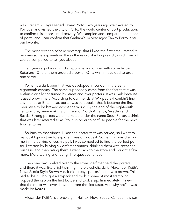was Graham's 10-year-aged Tawny Porto. Two years ago we traveled to Portugal and visited the city of Porto, the world center of port production, to confirm this important discovery. We sampled and compared a number of ports, and I can confirm that Graham's 10-year-aged Tawny Porto is still our favorite.

The most recent alcoholic beverage that I liked the first time I tasted it requires some explanation. It was the result of a long search, which I am of course compelled to tell you about.

Ten years ago I was in Indianapolis having dinner with some fellow Rotarians. One of them ordered a porter. On a whim, I decided to order one as well.

Porter is a dark beer that was developed in London in the early eighteenth century. The name supposedly came from the fact that it was enthusiastically consumed by street and river porters. It was dark because it used brown malt. According to our friends at Wikipedia (I couldn't find any friends at Britannica), porter was so popular that it became the first beer style to be brewed across the world. By the end of the eighteenth century, they were making it in Ireland, North America, Sweden and Russia. Strong porters were marketed under the name Stout Porter, a drink that was later referred to as Stout, in order to confuse people for the next two centuries.

So back to that dinner. I liked the porter that was served, so I went to my local liquor store to explore. I was on a quest. Something was drawing me in; I felt a kind of cosmic pull. I was compelled to find the perfect porter. I started by buying six different brands, drinking them with great seriousness, and then rating them. I went back to the store and bought a few more. More tasting and rating. The quest continued.

Then one day I walked over to the store shelf that held the porters, and there it was, like a light shining in the alcoholic dark: Alexander Keith's Nova Scotia Style Brown Ale. It didn't say "porter," but it was brown. This had to be it. I bought a six-pack and took it home. Almost trembling, I popped the cap on the first bottle and took a sip. Immediately, I knew that the quest was over. I loved it from the first taste. And why not? It was made by *Keiths.*

Alexander Keith's is a brewery in Halifax, Nova Scotia, Canada. It is part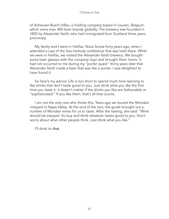of Anheuser-Busch InBev, a holding company based in Leuven, Belgium, which owns over 400 beer brands globally. The brewery was founded in 1820 by Alexander Keith, who had immigrated from Scotland three years previously.

My family and I were in Halifax, Nova Scotia forty years ago, when I attended a Law of the Sea Institute conference that was held there. While we were in Halifax, we visited the Alexander Keith brewery. We bought some beer glasses with the company logo and brought them home. It had not occurred to me during my "porter quest" thirty years later that Alexander Keith made a beer that was like a porter. I was delighted to have found it.

So here's my advice: Life is too short to spend much time learning to like drinks that don't taste good to you. Just drink what you like the first time you taste it. It doesn't matter if the drinks you like are fashionable or "sophisticated." If you like them, that's all that counts.

I am not the only one who thinks this. Years ago we toured the Mondavi vineyard in Napa Valley. At the end of the tour, the guide brought out a number of Mondavi wines for us to taste. After the tasting, she said: "Wine should be enjoyed. So buy and drink whatever tastes good to you. Don't worry about what other people think. Just drink what you like."

I'll drink to *that*.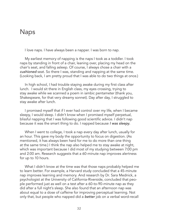# Naps

I love naps. I have always been a napper. I was born to nap.

My earliest memory of napping is the naps I took as a toddler. I took naps by standing in front of a chair, leaning over, placing my head on the chair's seat, and falling asleep. Of course, I always chose a chair with a cushioned seat. So there I was, standing and napping at the same time. (Looking back, I am pretty proud that I was able to do two things at once.)

In high school, I had trouble staying awake during my first class after lunch. I would sit there in English class, my eyes crossing, trying to stay awake while we scanned a poem in iambic pentameter (thank you, Shakespeare, for that very dreamy sonnet). Day after day, I struggled to stay awake after lunch.

I promised myself that if I ever had control over my life, when I became sleepy, I would sleep. I didn't know when I promised myself perpetual, blissful napping that I was following good scientific advice. I didn't nap because it was the smart thing to do. I napped because *I was sleepy.*

When I went to college, I took a nap every day after lunch, usually for an hour. This gave my body the opportunity to focus on digestion. (As mentioned, it has always been hard for me to do more than one thing at the same time.) I think the nap also helped me to stay awake at night, which was important because I did most of my studying between 7:00 pm and 2:00 am. Research suggests that a 60-minute nap improves alertness for up to 10 hours.

What I didn't know at the time was that those naps probably helped me to learn better. For example, a Harvard study concluded that a 45-minute nap improves learning and memory. And research by Dr. Sara Mednick, a psychologist at the University of California-Riverside, concluded that people performed just as well on a test after a 60-to-90-minute nap as they did after a full night's sleep. She also found that an afternoon nap was about equal to a dose of caffeine for improving perceptual learning. Not only that, but people who napped did a *better* job on a verbal word-recall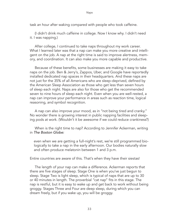task an hour after waking compared with people who took caffeine.

(I didn't drink much caffeine in college. Now I know why. I didn't need it. I was napping.)

After college, I continued to take naps throughout my work career. What I learned later was that a nap can make you more creative and intelligent on the job. A nap at the right time is said to improve alertness, memory, and coordination. It can also make you more capable and productive.

Because of these benefits, some businesses are making it easy to take naps on the job. Ben & Jerry's, Zappos, Uber, and Google have reportedly installed dedicated nap spaces in their headquarters. And these naps are not just for the 35% of all Americans who are sleep-deprived, defined by the American Sleep Association as those who get less than seven hours of sleep each night. Naps are also for those who get the recommended seven to nine hours of sleep each night. Even when you are well-rested, a nap can improve your performance in areas such as reaction time, logical reasoning, and symbol recognition.

A nap can also improve your mood, as in "not being tired and cranky." No wonder there is growing interest in public napping facilities and sleeping pods at work. (Wouldn't it be awesome if we could reduce crankiness?)

When is the right time to nap? According to Jennifer Ackerman, writing in *The Boston Globe:*

even when we are getting a full-night's rest, we're still programmed biologically to take a nap in the early afternoon. Our bodies naturally slow and often produce melatonin between 1 and 3 p.m.

Entire countries are aware of this. That's when they have their siestas!

The length of your nap can make a difference. Ackerman reports that there are five stages of sleep. Stage One is when you've just begun to sleep. Stage Two is light sleep, which is typical of naps that are up to 30 or 40 minutes in length. The proverbial "cat nap" fits in this stage. The nap is restful, but it is easy to wake up and get back to work without being groggy. Stages Three and Four are deep sleep, during which you can dream freely, but if you wake up, you will be groggy.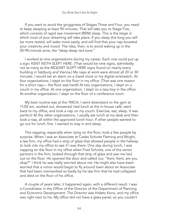If you want to avoid the grogginess of Stages Three and Four, you need to keep sleeping at least 90 minutes. That will take you to Stage Five, which consists of rapid eye movement (REM) sleep. This is the stage in which most of your dreaming will take place. If you sleep this long you will be more rested, will wake more easily, and will find that your nap boosted your creativity and mood. The idea, then, is to avoid waking up in the 45-90-minute zone, the "deep sleep red zone."

I worked at nine organizations during my career. Each one could put up a sign: KENT KEITH SLEPT HERE. (That would be nine signs, admittedly not as many as the MOZART SLEPT HERE signs found on nearly every building in Salzburg and Vienna.) My naps at work were almost all 20 or 30 minutes. I would set an alarm on a travel clock or my digital wristwatch. At four organizations, I slept on the floor in my office. (That was one reason for a short nap— the floor was hard!) At two organizations, I slept on a couch in my office. At one organization, I slept on a lazy boy in the office. At another organization, I slept on the floor of a conference room.

My best routine was at the YMCA. I went downstairs to the gym at 11:00 am, worked out, showered, had lunch at the in-house café, went back to my office, and took a nap on my couch. Exercise, eat, sleep. It was perfect! At the other organizations, I usually ate lunch at my desk and then took a nap, all within the approved lunch hour. If other people wanted to go out for lunch, fine. I wanted to stay in and sleep.

This napping, especially when lying on the floor, took a few people by surprise. When I was an Associate at Cades Schutte Fleming and Wright, a law firm, my office had a strip of glass that allowed people in the hallway to look into my office to see if I was there. One day during lunch, I was napping on the floor in my office when Fred Schutte, one of the senior partners in the firm, looked through that strip of glass and saw me laid out on the floor. He opened the door and called out, "Kent, Kent, are you okay?" I think he was really worried about me. He might also have been worried that a rumor would begin to fly around town about an Associate that had been overworked so badly by his law firm that he had collapsed and died on the floor of his office.

A couple of years later, it happened again, with a different result. I was a Coordinator in the Office of the Director of the Department of Planning and Economic Development. The Director was Hideto Kono, and my office was right next to his. My office did not have a glass panel, so you couldn't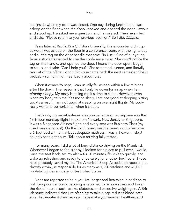see inside when my door was closed. One day during lunch hour, I was asleep on the floor when Mr. Kono knocked and opened the door. I awoke and stood up. He asked me a question, and I answered. Then he smiled and said: "Please return to your previous position." So I did. ZZZzzzz.

Years later, at Pacific Rim Christian University, the encounter didn't go as well. I was asleep on the floor in a conference room, with the lights out and a little tag on the door handle that said: "In Use." One of our young female students wanted to use the conference room. She didn't notice the tag on the handle, and opened the door. I heard the door open, began to sit up, and said: "Can I help you?" She screamed, turned, and literally ran out of the office. I don't think she came back the next semester. She is probably still running. I feel badly about that.

When it comes to naps, I can usually fall asleep within a few minutes after I lie down. The reason is that I only lie down for a nap when I am already sleepy. My body is telling me it's time to sleep. However, even when my body tells me it's time to sleep, I am not good at sleeping sitting up. As a result, I am not good at sleeping on overnight flights. My body really wants to be horizontal when it sleeps.

That's why my very-best-ever sleep experience on an airplane was the 18½-hour nonstop flight I took from Newark, New Jersey to Singapore. It was a Singapore Airlines flight, and every seat was Business Class (my client was generous!). On this flight, every seat flattened out to become a 6-foot bed with a thin but adequate mattress. I was in heaven. I slept soundly for eight hours. Talk about arriving fully rested!

For many years, I did a lot of long-distance driving on the Mainland. Whenever I began to feel sleepy, I looked for a place to pull over. I would push the seat back, set my alarm for 20 minutes, fall asleep quickly, and wake up refreshed and ready to drive safely for another few hours. Those naps probably saved my life. The American Sleep Association reports that drowsy driving is responsible for as many as 1,550 fatalities and 40,000 nonfatal injuries annually in the United States.

Naps are reported to help you live longer and healthier. In addition to not dying in a car crash, napping is reported to reduce stress and lower the risk of heart attack, stroke, diabetes, and excessive weight gain. A British study indicated that just *planning* to take a nap reduces blood pressure. As Jennifer Ackerman says, naps make you smarter, healthier, and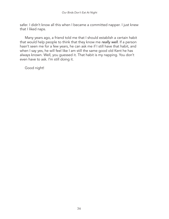safer. I didn't know all this when I became a committed napper. I just knew that I liked naps.

Many years ago, a friend told me that I should establish a certain habit that would help people to think that they know me *really well*. If a person hasn't seen me for a few years, he can ask me if I still have that habit, and when I say yes, he will feel like I am still the same good old Kent he has always known. Well, you guessed it. That habit is my napping. You don't even have to ask. I'm still doing it.

Good night!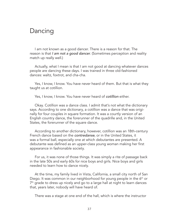# Dancing

I am not known as a good dancer. There is a reason for that. The reason is that I am not a good dancer. (Sometimes perception and reality match up really well.)

Actually, what I mean is that I am not good at dancing whatever dances people are dancing these days. I was trained in three old-fashioned dances: waltz, foxtrot, and cha-cha.

Yes, I know, I know. You have never heard of them. But that is what they taught us at cotillion.

Yes, I know, I know. You have never heard of *cotillion* either.

Okay. Cotillion was a dance class. I admit that's not what the dictionary says. According to one dictionary, a cotillion was a dance that was originally for four couples in square formation. It was a courtly version of an English country dance, the forerunner of the quadrille and, in the United States, the forerunner of the square dance.

According to another dictionary, however, cotillion was an 18th-century French dance based on the contredanse, or in the United States, it was a formal ball, especially one at which debutantes are presented. A debutante was defined as an upper-class young woman making her first appearance in fashionable society.

For us, it was none of those things. It was simply a rite of passage back in the late 50s and early 60s for nice boys and girls. Nice boys and girls needed to learn how to dance nicely.

At the time, my family lived in Vista, California, a small city north of San Diego. It was common in our neighborhood for young people in the  $6<sup>th</sup>$  or  $7<sup>th</sup>$  grade to dress up nicely and go to a large hall at night to learn dances that, years later, nobody will have heard of.

There was a stage at one end of the hall, which is where the instructor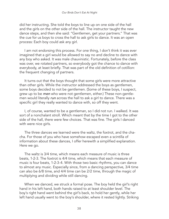did her instructing. She told the boys to line up on one side of the hall and the girls on the other side of the hall. The instructor taught the new dance steps, and then she said: "Gentlemen, get your partners." That was the cue for us boys to cross the hall to ask girls to dance. It was an open process: Each boy could ask any girl.

I am not endorsing this process. For one thing, I don't think it was ever imagined that a girl would be allowed to say no and decline to dance with any boy who asked. It was male chauvinistic. Fortunately, before the class was over, we rotated partners, so everybody got the chance to dance with everybody, at least briefly. That was part of the old definition of cotillion: the frequent changing of partners.

It turns out that the boys thought that some girls were more attractive than other girls. While the instructor addressed the boys as gentlemen, some boys decided to not be gentlemen. (Some of these boys, I suspect, grew up to be *men* who were not gentlemen, either.) These non-gentlemen would literally *run* across the hall to ask a girl to dance. There was a specific girl they really wanted to dance with, so off they went.

I, of course, wanted to be a gentleman, so I did not run. I walked. It was sort of a nonchalant stroll. Which meant that by the time I got to the other side of the hall, there were few choices. That was fine. The girls I danced with were nice girls.

The three dances we learned were the waltz, the foxtrot, and the chacha. For those of you who have somehow escaped even a scintilla of information about these dances, I offer herewith a simplified explanation. Here we go.

The waltz is 3/4 time, which means each measure of music is three beats, 1-2-3. The foxtrot is 4/4 time, which means that each measure of music is four beats, 1-2-3-4. With those two basic rhythms, you can dance to almost any music. Especially since, from a dancing perspective, 3/4 time can also be 6/8 time, and 4/4 time can be 2/2 time, through the magic of multiplying and dividing while still dancing.

When we danced, we struck a formal pose. The boy held the girl's right hand in his left hand, both hands raised to at least shoulder level. The boy's right hand went behind the girl's back, to hold her gently, while her left hand usually went to the boy's shoulder, where it rested lightly. Striking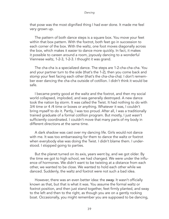that pose was the most dignified thing I had ever done. It made me feel very grown up.

The pattern of both dance steps is a square box. You move your feet within that box pattern. With the foxtrot, both feet go in succession to each corner of the box. With the waltz, one foot moves diagonally across the box, which makes it easier to dance more quickly. In fact, it makes it possible to careen around a room, joyously dancing to a wonderful Viennese waltz, 1-2-3, 1-2-3. I thought it was grand.

The cha-cha is a specialized dance. The steps are 1-2-cha-cha-cha. You and your partner turn to the side (that's the 1-2), then you come back and stomp your feet facing each other (that's the cha-cha-cha). I don't remember ever dancing the cha-cha outside of cotillion. I didn't think it would be safe.

I became pretty good at the waltz and the foxtrot, and then my social world collapsed, imploded, and was generally destroyed. A new dance took the nation by storm. It was called the Twist. It had nothing to do with 3/4 time or 4 /4 time or boxes or anything. Whatever it was, I couldn't bring myself to do it. Partly, I was too proud. After all, I was a traditionally trained graduate of a formal cotillion program. But mostly, I just wasn't sufficiently coordinated. I couldn't move that many parts of my body in different directions at the same time.

A dark shadow was cast over my dancing life. Girls would not dance with me. It was too embarrassing for them to dance the waltz or foxtrot when everybody else was doing the Twist. I didn't blame them. I understood. I stopped going to parties.

But the planet turned on its axis, years went by, and we got older. By the time we got to high school, we had changed. We were under the influence of hormones. We didn't want to be twisting at a distance from each other, we wanted to be close. We wanted to hold each other while we danced. Suddenly, the waltz and foxtrot were not such a bad idea.

However, there was an even better idea: the *sway*. It wasn't officially known as that, but that is what it was. You assume the formal waltz or foxtrot position, and then just stand together, feet firmly planted, and sway to the left and then to the right, as though you are on a gently rocking boat. Occasionally, you might remember you are supposed to be dancing,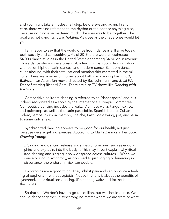and you might take a modest half step, before swaying again. In any case, there was no reference to the rhythm or the beat or anything else, because nothing else mattered much. The idea was to be together. The goal was not dancing, it was holding. As close as the chaperones would let you.

I am happy to say that the world of ballroom dance is still alive today, both socially and competitively. As of 2019, there were an estimated 54,000 dance studios in the United States generating \$4 billion in revenue. Those dance studios were presumably teaching ballroom dancing, along with ballet, hiphop, Latin dances, and modern dance. Ballroom dance clubs abound, with their total national membership estimated in the millions. There are wonderful movies about ballroom dancing like Strictly *Ballroom*, an Australian movie directed by Baz Luhrmann, and Shall We *Dance?* starring Richard Gere. There are also TV shows like *Dancing with*  the Stars.

Competitive ballroom dancing is referred to as "dancesport," and it is indeed recognized as a sport by the International Olympic Committee. Competitive dancing includes the waltz, Viennese waltz, tango, foxtrot, and quickstep, as well as the Latin pasodoble, Spanish bolero, Cuban bolero, samba, rhumba, mambo, cha cha, East Coast swing, jive, and salsa, to name only a few.

Synchronized dancing appears to be good for our health, not just because we are getting exercise. According to Marta Zaraska in her book, *Growing Young*:

…Singing and dancing release social neurohormones, such as endorphins and oxytocin, into the body… This may in part explain why ritualized dancing and singing is so widespread across cultures… When we dance or sing in synchrony, as opposed to just jigging or humming in dissonance, the endorphin kick can double.

Endorphins are a good thing. They inhibit pain and can produce a feeling of euphoria— without opioids. Notice that this is about the benefits of synchronized or ritualized dancing. (I'm hearing waltz and foxtrot here, not the Twist.)

So that's it. We don't have to go to cotillion, but we should dance. We should dance together, in synchrony, no matter where we are from or what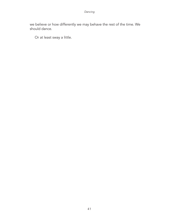we believe or how differently we may behave the rest of the time. We should dance.

Or at least sway a little.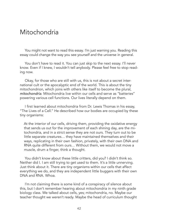# Mitochondria

You might not want to read this essay. I'm just warning you. Reading this essay could change the way you see yourself and the universe in general.

You don't have to read it. You can just skip to the next essay. I'll never know. Even if I knew, I wouldn't tell anybody. Please feel free to stop reading now.

Okay, for those who are still with us, this is not about a secret international cult or the apocalyptic end of the world. This is about the tiny mitochondrion, which joins with others like itself to become the plural, mitochondria. Mitochondria live within our cells and serve as "batteries" powering various cell functions. Our lives literally depend on them.

I first learned about mitochondria from Dr. Lewis Thomas in his essay, "The Lives of a Cell." He described how our bodies are occupied by these tiny organisms:

At the interior of our cells, driving them, providing the oxidative energy that sends us out for the improvement of each shining day, are the mitochondria, and in a strict sense they are not ours. They turn out to be little separate creatures… they have maintained themselves and their ways, replicating in their own fashion, privately, with their own DNA and RNA quite different from ours… Without them, we would not move a muscle, drum a finger, think a thought.

You didn't know about these little critters, did you? I didn't think so. Neither did I. I am still trying to get used to them. It's a little unnerving. Just think about it. There are tiny organisms within our cells that affect everything we do, and they are independent little buggers with their own DNA and RNA. Whoa.

I'm not claiming there is some kind of a conspiracy of silence about this, but I don't remember hearing about mitochondria in my ninth grade biology class. We talked about cells, yes; mitochondria, no. Maybe our teacher thought we weren't ready. Maybe the head of curriculum thought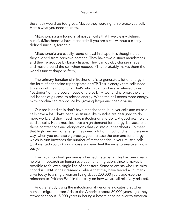the shock would be too great. Maybe they were right. So brace yourself. Here's what you need to know.

Mitochondria are found in almost all cells that have clearly defined nuclei. (Mitochondria have standards: If you are a cell without a clearly defined nucleus, forget it.)

Mitochondria are usually round or oval in shape. It is thought that they evolved from primitive bacteria. They have two distinct membranes and they reproduce by binary fission. They can quickly change shape and move around the cell when needed. (That probably makes them the world's tiniest shape shifters.)

The primary function of mitochondria is to generate a lot of energy in the form of adenosine triphosphate or ATP. This is energy that cells need to carry out their functions. That's why mitochondria are referred to as "batteries" or "the powerhouse of the cell." Mitochondria break the chemical bonds of glucose to release energy. When the cell needs more energy, mitochondria can reproduce by growing larger and then dividing.

Our red blood cells don't have mitochondria, but liver cells and muscle cells have a lot. That's because tissues like muscles are designed to do more work, and they need more mitochondria to do it. A good example is cardiac cells. Heart muscles have a high demand for energy, because of all those contractions and elongations that go into our heartbeats. To meet that high demand for energy, they need a lot of mitochondria. In the same way, when you exercise vigorously, you increase the demand for energy, which in turn increases the number of mitochondria in your muscle cells. (Just wanted you to know in case you ever feel the urge to exercise vigorously.)

The mitochondrial genome is inherited maternally. This has been really helpful in research on human evolution and migration, since it makes it possible to follow a single line of ancestors. Some scientists who use mitochondrial DNA in their research believe that they have traced all humans alive today to a single woman living about 200,000 years ago (see the reference to "African Eve" in the essay on how we are all relatively related).

Another study using the mitochondrial genome indicates that when humans migrated from Asia to the Americas about 30,000 years ago, they stayed for about 15,000 years in Beringia before heading over to America.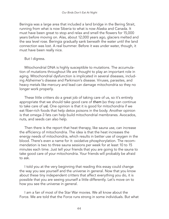Beringia was a large area that included a land bridge in the Bering Strait, running from what is now Siberia to what is now Alaska and Canada. It must have been great to stop and relax and smell the flowers for 15,000 years before moving on. Alas, about 12,000 years ago, glaciers melted and the sea level rose. Beringia gradually sank beneath the water until the land connection was lost. A real bummer. Before it was under water, though, it must have been really nice.

#### But I digress.

Mitochondrial DNA is highly susceptible to mutations. The accumulation of mutations throughout life are thought to play an important role in aging. Mitochondrial dysfunction is implicated in several diseases, including Alzheimer's disease and Parkinson's disease. Viruses, parasites, and heavy metals like mercury and lead can damage mitochondria so they no longer work properly.

These little critters do a great job of taking care of us, so it's entirely appropriate that we should take good care of *them* (so they can continue to take care of *us*). One opinion is that it is good for mitochondria if we eat fiber-rich foods that help detox poisons in the body. Another opinion is that omega-3 fats can help build mitochondrial membranes. Avocados, nuts, and seeds can also help.

Then there is the report that heat therapy, like sauna use, can increase the efficiency of mitochondria. The idea is that the heat increases the energy needs of mitochondria, which results in better use of oxygen in the blood. There's even a name for it: oxidative phosphorylation. The recommendation is two to three sauna sessions per week for at least 10 to 15 minutes each time. Just tell your friends that you are going to the sauna to take good care of your mitochondria. Your friends will probably be afraid to ask.

I told you at the very beginning that reading this essay could change the way you see yourself and the universe in general. Now that you know about these tiny independent critters that affect everything you do, it is possible that you are seeing yourself a little differently. Let's move on to how you see the universe in general.

I am a fan of most of the Star War movies. We all know about the Force. We are told that the Force runs strong in some individuals. But what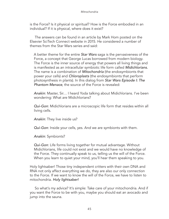is the Force? Is it physical or spiritual? How is the Force embodied in an individual? If it is physical, where does it exist?

The answers can be found in an article by Mark Hom posted on the Elsevier SciTech Connect website in 2015. He considered a number of themes from the Star Wars series and said:

A better theme for the entire **Star Wars** saga is the pervasiveness of the Force, a concept that George Lucas borrowed from modern biology. The Force is the inner source of energy that powers all living things and is manifested as an intracellular symbiotic life form called Midichlorians. The name is a combination of Mitochondria (the endosymbionts that power your cells) and *Chloroplasts* (the endosymbionts that perform photosynthesis in plants). In this dialog from Star Wars Episode I: The Phantom Menace, the source of the Force is revealed:

*Anakin*: Master, Sir… I heard Yoda talking about Midichlorians. I've been wondering: What are Midichlorians?

*Qui-Gon*: Midichlorians are a microscopic life form that resides within all living cells.

*Anakin*: They live inside us?

*Qui-Gon*: Inside your cells, yes. And we are symbionts with them.

*Anakin*: Symbionts?

*Qui-Gon*: Life forms living together for mutual advantage. Without Midichlorians, life could not exist and we would have no knowledge of the Force. They continually speak to us, telling us the will of the Force. When you learn to quiet your mind, you'll hear them speaking to you.

Holy lightsaber! Those tiny independent critters with their own DNA and RNA not only affect everything we do, they are also our only connection to the Force. If we want to know the will of the Force, we have to listen to mitochondria. *Holy lightsaber!* 

So what's my advice? It's simple: Take care of your mitochondria. And if you want the Force to be with you, maybe you should eat an avocado and jump into the sauna.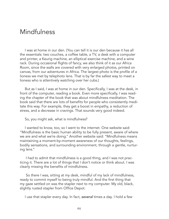# Mindfulness

I was at home in our den. (You can tell it is our den because it has all the essentials: two couches, a coffee table, a TV, a desk with a computer and printer, a Keurig machine, an elliptical exercise machine, and a wine rack. During occasional flights of fancy, we also think of it as our Africa Room, since the walls are covered with very enlarged photos, printed on canvas, from our adventures in Africa. The largest photo is the profile of a lioness we met by telephoto lens. That is by far the safest way to meet a lioness who is attentively watching over her cubs.)

But as I said, I was at home in our den. Specifically, I was at the desk, in front of the computer, reading a book. Even more specifically, I was reading the chapter of the book that was about mindfulness meditation. The book said that there are lots of benefits for people who consistently meditate this way. For example, they get a boost in empathy, a reduction of stress, and a decrease in cravings. That sounds very good indeed.

So, you might ask, what is mindfulness?

I wanted to know, too, so I went to the internet. One website said: "Mindfulness is the basic human ability to be fully present, aware of where we are and what we're doing." Another website said: "Mindfulness means maintaining a moment-by-moment awareness of our thoughts, feelings, bodily sensations, and surrounding environment, through a gentle, nurturing lens."

 I had to admit that mindfulness is a good thing, and I was not practicing it. There are a lot of things that I don't notice or think about. I was clearly missing the benefits of mindfulness.

 So there I was, sitting at my desk, mindful of my lack of mindfulness, ready to commit myself to being truly mindful. And the first thing that my gaze settled on was the stapler next to my computer. My old, black, slightly rusted stapler from Office Depot.

I use that stapler every day. In fact, *several* times a day. I hold a few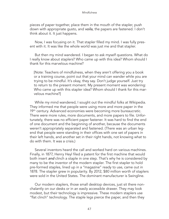#### *Mindfulness*

pieces of paper together, place them in the mouth of the stapler, push down with appropriate gusto, and voila, the papers are fastened. I don't think about it. It just happens.

Now, I was focusing on it. That stapler filled my mind. I was fully present with it. It was like the whole world was just me and that stapler.

But then my mind wandered. I began to ask myself questions. What do I really know about staplers? Who came up with this idea? Whom should I thank for this marvelous machine?

[Note: Teachers of mindfulness, when they aren't offering you a book or a training course, point out that your mind can wander while you are trying to be mindful. It's okay, they say. Don't judge yourself. Just try to return to the present moment. My present moment was wondering: Who came up with this stapler idea? Whom should I thank for this marvelous machine?]

While my mind wandered, I sought out the mindful folks at Wikipedia. They informed me that people were using more and more paper in the 19<sup>th</sup> century. Advanced economies were becoming more bureaucratic. There were more rules, more documents, and more papers to file. Unfortunately, there was no efficient paper fastener. It was hard to find the end of one document and the beginning of another, because the documents weren't appropriately separated and fastened. (There was an urban legend that people were standing in their offices with one set of papers in their left hands, and another set in their right hands, not knowing what to do with them. It was a crisis.)

Several inventors heard the call and worked hard on various machines. Finally, in 1877, Henry Heyl filed a patent for the first machine that would both insert and clinch a staple in one step. That's why he is considered by many to be the inventor of the modern stapler. The first stapler to hold pre-formed staples, lined up in a "magazine" ready to use, came out in 1878. The stapler grew in popularity. By 2012, \$80 million worth of staplers were sold in the United States. The dominant manufacturer is Swingline.

Our modern staplers, those small desktop devices, just sit there nonchalantly on our desks or in an easily accessible drawer. They may look modest, but their technology is impressive. These modern staplers use "flat clinch" technology. The staple legs pierce the paper, and then they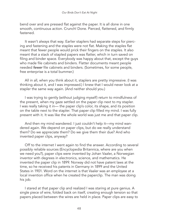bend over and are pressed flat against the paper. It is all done in one smooth, continuous action. Crunch! Done. Pierced, flattened, and firmly fastened.

It wasn't always that way. Earlier staplers had separate steps for piercing and fastening and the staples were not flat. Making the staples flat meant that fewer people would prick their fingers on the staples. It also meant that a stack of stapled papers was flatter, which in turn saved on filing and binder space. Everybody was happy about that, except the guys who made file cabinets and binders. Flatter documents meant people needed *fewer* file cabinets and binders. (Sometimes, for some people, free enterprise is a total bummer.)

All in all, when you think about it, staplers are pretty impressive. (I was thinking about it, and I was impressed.) I knew that I would never look at a stapler the same way again. (And neither should you.)

I was trying to gently (without judging myself) return to mindfulness of the present, when my gaze settled on the paper clip next to my stapler. I was really taking it in— the paper clip's color, its shape, and its position on the table next to the stapler. That paper clip filled my mind. I was fully present with it. It was like the whole world was just me and that paper clip.

And then my mind wandered. I just couldn't help it—my mind wandered again. We depend on paper clips, but do we really understand them? Do we appreciate them? Do we give them their due? And who invented paper clips, anyway?

Off to the internet I went again to find the answer. According to several possibly reliable sources (Encyclopedia Britannica, where are you when we need you?), paper clips were invented by Johan Vaaler, a Norwegian inventor with degrees in electronics, science, and mathematics. He invented the paper clip in 1899. Norway did not have patent laws at the time, so he received his patents in Germany in 1899 and the United States in 1901. Word on the internet is that Vaaler was an employee at a local invention office when he created the paperclip. The man was doing his job.

I stared at that paper clip and realized I was staring at pure genius. A single piece of wire, folded back on itself, creating enough tension so that papers placed between the wires are held in place. Paper clips are easy to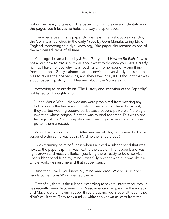put on, and easy to take off. The paper clip might leave an indentation on the pages, but it leaves no holes the way a stapler does.

There have been many paper clip designs. The first double-oval clip, the Gem, was launched in the early 1900s by Gem Manufacturing Ltd of England. According to didyouknow.org, "the paper clip remains as one of the most-used items of all time."

Years ago, I read a book by J. Paul Getty titled *How to Be Rich*. (It was not about how to *get* rich, it was about what to do once you were already rich, so I have no idea why I was reading it.) I remember only one thing from that book. Getty claimed that he convinced everybody in his companies to re-use their paper clips, and they saved \$50,000. I thought that was a cool paper clip story until I learned about the Norwegians.

According to an article on "The History and Invention of the Paperclip" published on Thoughtco.com:

During World War II, Norwegians were prohibited from wearing any buttons with the likeness or initials of their king on them. In protest, they started wearing paperclips, because paperclips were a Norwegian invention whose original function was to bind together. This was a protest against the Nazi occupation and wearing a paperclip could have gotten them arrested.

Wow! That is so super cool. After learning all this, I will never look at a paper clip the same way again. (And neither should you.)

I was returning to mindfulness when I noticed a rubber band that was next to the paper clip that was next to the stapler. The rubber band was light brown and mostly elliptical, just lying there, ready to be of service. That rubber band filled my mind. I was fully present with it. It was like the whole world was just me and that rubber band.

 And then—well, you know. My mind wandered. Where did rubber bands come from? Who invented them?

First of all, there is the rubber. According to several internet sources, it has recently been discovered that Mesoamerican peoples like the Aztecs and Mayans were making rubber three thousand years ago (although they didn't call it that). They took a milky-white sap known as latex from the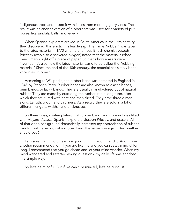indigenous trees and mixed it with juices from morning glory vines. The result was an ancient version of rubber that was used for a variety of purposes, like sandals, balls, and jewelry.

When Spanish explorers arrived in South America in the 16th century, they discovered this elastic, malleable sap. The name "rubber" was given to the latex material in 1770 when the famous British chemist Joseph Priestley (who also discovered oxygen) noted that the material rubbed pencil marks right off a piece of paper. So that's how erasers were invented. It's also how the latex material came to be called the "rubbing material." Since the end of the 18th century, the material has simply been known as "rubber."

According to Wikipedia, the rubber band was patented in England in 1845 by Stephen Perry. Rubber bands are also known as elastic bands, gum bands, or lacky bands. They are usually manufactured out of natural rubber. They are made by extruding the rubber into a long tube, after which they are cured with heat and then sliced. They have three dimensions: Length, width, and thickness. As a result, they are sold in a lot of different lengths, widths, and thicknesses.

So there I was, contemplating that rubber band, and my mind was filled with Mayans, Aztecs, Spanish explorers, Joseph Priestly, and erasers. All of that deep background dramatically increased my appreciation of rubber bands. I will never look at a rubber band the same way again. (And neither should you.)

I am sure that mindfulness is a good thing. I recommend it. And I have another recommendation. If you are like me and you can't stay mindful for long, I recommend that you go ahead and let your mind wander. When my mind wandered and I started asking questions, my daily life was enriched in a simple way.

So let's be mindful. But if we can't be mindful, let's be curious!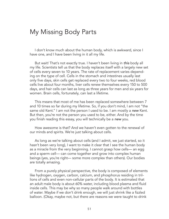# My Missing Body Parts

I don't know much about the human body, which is awkward, since I have one, and I have been living in it all my life.

But wait! That's not exactly true. I haven't been living in *this* body all my life. Scientists tell us that the body replaces itself with a largely new set of cells every seven to 10 years. The rate of replacement varies depending on the type of cell. Cells in the stomach and intestines usually last only five days, skin cells get replaced every two to four weeks, red blood cells live about four months, liver cells renew themselves every 150 to 500 days, and hair cells can last as long as three years for men and six years for women. Brain cells, fortunately, can last a lifetime.

This means that most of me has been replaced somewhere between 7 and 10 times so far during my lifetime. So, if you don't mind, I am not "the same old Kent." I am not the person I used to be. I am mostly a *new* Kent. But then, you're not the person you used to be, either. And by the time you finish reading this essay, you will technically be a *new* you.

How awesome is that? And we haven't even gotten to the renewal of our minds and spirits. We're just talking about cells.

As long as we're talking about cells (and I admit, we just started, so it hasn't been very long), I want to make it clear that I see the human body as a miracle from the very beginning. I cannot grasp how cells— an egg and a sperm cell— can come together and grow into complex human beings (yes, you're right— some more complex than others). Our bodies are totally amazing.

From a purely physical perspective, the body is composed of elements like hydrogen, oxygen, carbon, calcium, and phosphorus residing in trillions of cells and even non-cellular parts of the body. It is estimated that an adult male body is about 60% water, including blood plasma and fluid inside cells. This may be why so many people walk around with bottles of water. Maybe if we don't drink enough, we will just shrink like a fizzled balloon. (Okay, maybe not, but there are reasons we were taught to drink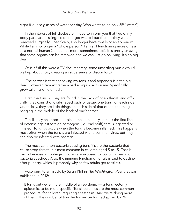eight 8-ounce glasses of water per day. Who wants to be only 55% water?)

In the interest of full disclosure, I need to inform you that two of my body parts are missing. I didn't forget where I put them— they were removed surgically. Specifically, I no longer have tonsils or an appendix. While I am no longer a "whole person," I am still functioning more or less as a normal human (sometimes more, sometimes less). It is pretty amazing that some organs can be removed and we can just go on living. It's no big deal.

Or is it? (If this were a TV documentary, some unsettling music would well up about now, creating a vague sense of discomfort.)

 The answer is that not having my tonsils and appendix is not a big deal. However, *removing* them had a big impact on me. Specifically, I grew taller, and I didn't die.

First, the tonsils. They are found in the back of one's throat, and officially, they consist of oval-shaped pads of tissue, one tonsil on each side. Unofficially, they are little things on each side of that other little thing hanging in the middle of the back of one's throat.

Tonsils play an important role in the immune system, as the first line of defense against foreign pathogens (i.e., bad stuff) that is ingested or inhaled. Tonsilitis occurs when the tonsils become inflamed. This happens most often when the tonsils are infected with a common virus, but they can also be infected with bacteria.

The most common bacteria causing tonsilitis are the bacteria that cause strep throat. It is most common in children aged 5 to 15. That is partly because school-age children are exposed to lots of viruses and bacteria at school. Also, the immune function of tonsils is said to decline after puberty, which is probably why so few adults get tonsilitis.

According to an article by Sarah Kliff in **The Washington Post** that was published in 2012:

It turns out we're in the middle of an epidemic — a tonsillectomy epidemic, to be more specific. Tonsillectomies are the most common procedure, for children, requiring anesthesia. And we're doing more of them: The number of tonsillectomies performed spiked by 74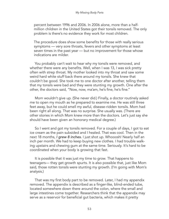percent between 1996 and 2006. In 2006 alone, more than a halfmillion children in the United States got their tonsils removed. The only problem is there's no evidence they work for most children.

The procedure does show some benefits for those with really serious symptoms — very sore throats, fevers and other symptoms at least seven times in the past year — but no improvement for those whose indications are milder.

You probably can't wait to hear why my tonsils were removed, and whether there were any benefits. Well, when I was 13, I was sick pretty often with strep throat. My mother looked into my throat and saw some weird hard white stuff back there around my tonsils. She knew that couldn't be good. She took me to one doctor after another, telling them that my tonsils were bad and they were stunting my growth. One after the other, the doctors said, "Now, now, ma'am, he's fine, he's fine."

Mom wouldn't give up. (She never did.) Finally, a doctor routinely asked me to open my mouth as he prepared to examine me. He was still three feet away, but he could smell my awful, disease-ridden tonsils. Mom had been right all along. That was no surprise. She usually was. (There are other stories in which Mom knew more than the doctors. Let's just say she should have been given an honorary medical degree.)

So I went and got my tonsils removed. For a couple of days, I got to eat ice cream as the pain subsided and I healed. That was cool. Then in the next 18 months, I grew 8 inches. I just shot up. Whooosh! Nearly half an inch per month. We had to keep buying new clothes. I had trouble walking upstairs and chewing gum at the same time. Seriously. It's hard to be coordinated when your body is growing that fast.

It is possible that it was just my time to grow. That happens to teenagers— they get growth spurts. It is also possible that, just like Mom said, those rotten tonsils were stunting my growth. (I'm going with Mom's analysis.)

That was my first body part to be removed. Later, I had my appendix removed. The appendix is described as a finger-like, blind-ended tube, located somewhere down there around the colon, where the small and large intestines come together. Researchers think that the appendix may serve as a reservoir for beneficial gut bacteria, which makes it pretty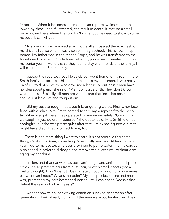important. When it becomes inflamed, it can rupture, which can be followed by shock, and if untreated, can result in death. It may be a small organ down there where the sun don't shine, but we need to show it some respect. It can kill you.

My appendix was removed a few hours after I passed the road test for my driver's license when I was a senior in high school. This is how it happened. My father was in the Marine Corps, and he was transferred to the Naval War College in Rhode Island after my junior year. I wanted to finish my senior year in Honolulu, so they let me stay with friends of the family. I will call them the Smith family.

I passed the road test, but I felt sick, so I went home to my room in the Smith family house. I felt this bar of fire across my abdomen. It was really painful. I told Mrs. Smith, who gave me a lecture about pain. "Men have no idea about pain," she said. "Men don't give birth. They don't know what pain is." Basically, all men are wimps, and that included me, so I should just be quiet and tough it out.

I did my best to tough it out, but it kept getting worse. Finally, her face filled with disdain, Mrs. Smith agreed to take my wimpy self to the hospital. When we got there, they operated on me immediately. "Good thing we caught it just before it ruptured," the doctor said. Mrs. Smith did not apologize, but she was pretty quiet after that. I think she figured out that I might have died. That occurred to me, too.

There is one more thing I want to share. It's not about losing something, it's about adding something. Specifically, ear wax. At least once a year, I go to my doctor, who uses a syringe to pump water into my ears at high speed in order to dislodge and remove the excess wax without damaging my ear drum.

I understand that ear wax has both anti-fungal and anti-bacterial properties. It also protects ears from dust, hair, or even small insects (not a pretty thought). I don't want to be ungrateful, but why do I produce *more* ear wax than I need? What's the point? My ears produce more and more wax, protecting my ears better and better, until I can't hear. Doesn't that defeat the reason for having ears?

I wonder how this super-waxing condition survived generation after generation. Think of early humans. If the men were out hunting and they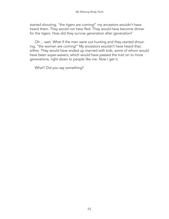started shouting, "the tigers are coming!" my ancestors wouldn't have heard them. They would not have fled. They would have become dinner for the tigers. How did they survive generation after generation?

Oh… wait. What if the men were out hunting and they started shouting, "the women are coming!" My ancestors wouldn't have heard that, either. They would have ended up married with kids, some of whom would have been super-waxers, which would have passed the trait on to more generations, right down to people like me. Now I get it.

What? Did you say something?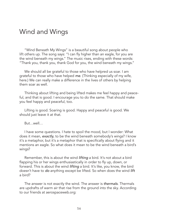# Wind and Wings

"Wind Beneath My Wings" is a beautiful song about people who lift others up. The song says: "I can fly higher than an eagle, for you are the wind beneath my wings." The music rises, ending with these words: "Thank you, thank you, thank God for you, the wind beneath my wings."

We should all be grateful to those who have helpred us soar. I am grateful to those who have helped *me*. (Thinking especially of my wife, here.) We can really make a difference in the lives of others by helping them soar as well.

Thinking about lifting and being lifted makes me feel happy and peaceful, and that is good. I encourage you to do the same. That should make you feel happy and peaceful, too.

Lifting is good. Soaring is good. Happy and peaceful is good. We should just leave it at that.

But…well…

I have some questions. I hate to spoil the mood, but I wonder: What does it mean, *exactly*, to be the wind beneath somebody's wings? I know it's a metaphor, but it's a metaphor that is specifically about flying and it mentions an eagle. So what does it mean to be the wind beneath a bird's wings?

Remember, this is about the wind *lifting* a bird. It's not about a bird flapping his or her wings enthusiastically in order to fly up, down, or forward. This is about the wind *lifting* a bird. It's like, you know, the bird doesn't have to do anything except be lifted. So when does the wind *lift* a bird?

The answer is not exactly the wind. The answer is *thermals*. Thermals are updrafts of warm air that rise from the ground into the sky. According to our friends at aerospaceweb.org: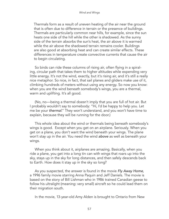Thermals form as a result of uneven heating of the air near the ground that is often due to difference in terrain or the presence of buildings. Thermals are particularly common near hills, for example, since the sun heats one side of the hill while the other is shadowed. As the sunny side of the terrain absorbs the sun's heat, the air above it is warmed while the air above the shadowed terrain remains cooler. Buildings are also good at absorbing heat and can create similar effects. These differences in temperature create convective currents that cause the air to begin circulating.

So birds can ride these columns of rising air, often flying in a spiraling, circular path that takes them to higher altitudes while expending very little energy. It's not the wind, exactly, but it's rising air, and it's still a really nice metaphor. So nice, in fact, that sail planes and gliders make use of it, climbing hundreds of meters without using any energy. So now you know: when you are the wind beneath somebody's wings, you are a thermal, warm and uplifting. It's all good.

(No, no—being a thermal doesn't imply that you are full of hot air. But I probably wouldn't say to somebody: "Hi, I'd be happy to help you. Let me be your *thermal*." They won't understand, and you won't have time to explain, because they will be running for the door.)

This whole idea about the wind or thermals being beneath somebody's wings is good. Except when you get on an airplane. Seriously. When you get on a plane, you don't want the wind beneath your wings. The plane won't stay up in the air. You need the wind *above* as well as beneath your wings.

When you think about it, airplanes are amazing. Basically, when you ride a plane, you get into a long tin can with wings that roars up into the sky, stays up in the sky for long distances, and then safely descends back to Earth. How does it stay up in the sky so long?

As you suspected, the answer is found in the movie *Fly Away Home*, a 1996 family movie starring Anna Paquin and Jeff Daniels. The movie is based on the story of Bill Lishman who in 1986 trained Canadian geese to follow his ultralight (meaning: very small) aircraft so he could lead them on their migration south.

In the movie, 13-year-old Amy Alden is brought to Ontario from New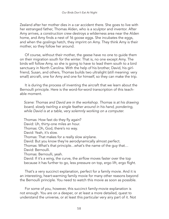Zealand after her mother dies in a car accident there. She goes to live with her estranged father, Thomas Alden, who is a sculptor and inventor. After Amy arrives, a construction crew destroys a wilderness area near the Alden home, and Amy finds a nest of 16 goose eggs. She incubates the eggs, and when the goslings hatch, they imprint on Amy. They think Amy is their mother, so they follow her around.

Of course, without their mother, the geese have no one to guide them on their migration south for the winter. That is, no one except Amy. The birds will follow Amy, so she is going to have to lead them south to a bird sanctuary in North Carolina. With the help of his brother, David, his girlfriend, Susan, and others, Thomas builds two ultralight (still meaning: very small) aircraft, one for Amy and one for himself, so they can make the trip.

It is during the process of inventing the aircraft that we learn about the Bernoulli principle. Here is the word-for-word transcription of this teachable moment.

*Scene: Thomas and David are in the workshop. Thomas is at his drawing board, slowly twirling a single feather around in his hand, pondering, while David is at a table, very solemnly working on a computer.*

Thomas: How fast do they fly again? David: Uh, thirty-one miles an hour. Thomas: Oh, God, there's no way. David: Yeah, it's slow. Thomas: That makes for a really slow airplane. David: But you know they're aerodynamically almost perfect. Thomas: What's that principle…what's the name of the guy that… David: Bernoulli. Thomas: Bernoulli, yeah. David: If it's a wing, the curve, the airflow moves faster over the top because it has further to go, less pressure on top, ergo lift, ergo flight.

That's a very succinct explanation, perfect for a family movie. And it is an interesting, heart-warming family movie for many other reasons beyond the Bernoulli principle. You need to watch this movie as soon as possible.

For some of you, however, this succinct family-movie explanation is not enough. You are on a deeper, or at least a more detailed, quest to understand the universe, or at least this particular very airy part of it. Not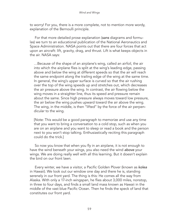to worry! For you, there is a more complete, not to mention more wordy, explanation of the Bernoulli principle.

For that more detailed prose explanation (*sans* diagrams and formulas) we turn to an educational publication of the National Aeronautics and Space Administration. NASA points out that there are four forces that act upon an aircraft: lift, gravity, drag, and thrust. Lift is what keeps objects in the air. NASA says:

…Because of the shape of an airplane's wing, called an airfoil, the air into which the airplane flies is split at the wing's leading edge, passing above and below the wing at different speeds so that the air will reach the same endpoint along the trailing edge of the wing at the same time. In general, the wing's upper surface is curved so that the air rushing over the top of the wing speeds up and stretches out, which decreases the air pressure above the wing. In contrast, the air flowing below the wing moves in a straighter line, thus its speed and pressure remain about the same. Since high pressure always moves toward low pressure, the air below the wing pushes upward toward the air above the wing. The wing, in the middle, is then "lifted" by the force of the air perpendicular to the wing.

[Note: This would be a good paragraph to memorize and use any time that you want to bring a conversation to a cold stop, such as when you are on an airplane and you want to sleep or read a book and the person next to you won't stop talking. Enthusiastically reciting this paragraph could do the trick.]

So now you know that when you fly in an airplane, it is not enough to have the wind beneath your wings, you also need the wind *above* your wings. We are doing really well with all this learning. But it doesn't explain the bird on our front lawn.

Every winter, we have a visitor, a Pacific Golden Plover (known as *kolea* in Hawaii). We look out our window one day and there he is, standing serenely in our front yard. The thing is this: He comes all the way from Alaska. With only a 17-inch wingspan, he flies about 3,000 miles, nonstop, in three to four days, and finds a small land mass known as Hawaii in the middle of the vast blue Pacific Ocean. Then he finds the speck of land that constitutes our front yard.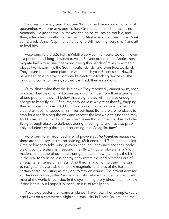He does this every year. He doesn't go through immigration or animal quarantine. He never asks permission. On the other hand, he issues no demands. He just shows up, makes little noise, causes no trouble, and then, after a few months, he flies back to Alaska. And he does this *without* Jeff Daniels, Anna Paquin, or an ultralight (still meaning: very small) aircraft to lead him.

According to the U.S. Fish & Wildlife Service, the Pacific Golden Plover is a phenomenal long-distance traveler. Plovers breed in the Arctic, then migrate half way around the world, flying thousands of miles to winter in places like Hawaii, Fiji, the South Pacific Islands, and even New Zealand. They return to the same place for winter each year. Scientists in Hawaii have been able to attach lightweight electronic tracking devices to the birds who come to Hawaii, so they can track their migrations.

Okay, that's what they do. But how? They reportedly cannot swim, soar, or glide. They weigh only 4.6 ounces, which is little more than a quarter of one pound. If they fall below that weight, they will not have enough energy to keep flying. Of course, they do lose weight as they fly, flapping their wings as many as 250,000 times during the trip in order to maintain a constant optimal speed of 32 miles per hour. But there are no places to stop for a snack along the way and recover the lost weight. And then they find Hawaii in the middle of the ocean, even though their trip has included flying through absolute darkness during three nights and has also probably included flying through disorienting rain. So again, *how*?

According to an ardent admirer of plovers at *The Fountain* magazine, there are three keys: (1) carbo-loading, (2) friends, and (3) magnetic fields. First, before they take wing, plovers eat a lot— they increase their body weight by more than half. Second, they fly with other plovers, in a V formation, so that the birds in the front generate airflow that helps the birds in the rear to fly using less energy (they rotate the lead positions out of an egalitarian sense of fairness). And third, in addition to using the sun to navigate, they are able to follow magnetic field lines of the Earth at a certain angle, adjusting as they go, to stay on course. The ardent admirer at *The Fountain* says that "some scientists believe that the magnetic field map of the world is recorded in the eyes of migratory birds." I don't know if that is true, but I hope it is, because it is so totally cool.

Plovers do better than some airplanes I have flown. For example, years ago I was on a commercial flight to a small city in North Dakota, and the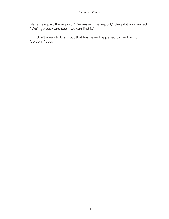plane flew past the airport. "We missed the airport," the pilot announced. "We'll go back and see if we can find it."

I don't mean to brag, but that has never happened to our Pacific Golden Plover.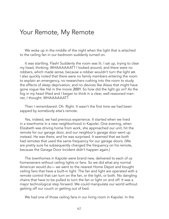### Your Remote, My Remote

We woke up in the middle of the night when the light that is attached to the ceiling fan in our bedroom suddenly turned on.

It was startling. Flash! Suddenly the room was lit. I sat up, trying to clear my head, thinking: WHAAAAAAT? I looked around, and there were no robbers, which made sense, because a robber wouldn't turn the light *on*. I also quickly noted that there were no family members entering the room to explain an emergency, no researchers rushing into the room to study the effects of sleep deprivation, and no devices like Alexa that might have gone rogue like Hal in the movie 2001. So how did the light go on? As the fog in my head lifted and I began to think in a clear, well-reasoned manner, I thought: WHAAAAAAT?

Then I remembered. Oh. Right. It wasn't the first time we had been zapped by somebody else's remote.

Yes, indeed, we had previous experience. It started when we lived in a townhome in a new neighborhood in Kapolei. One evening, when Elizabeth was driving home from work, she approached our unit, hit the remote for our garage door, and our neighbor's garage door went up instead. He was there, and he was surprised. It seemed that we both had remotes that used the same frequency for our garage doors. (We are pretty sure he subsequently changed the frequency on his remote, because the Garage Door Incident didn't happen again.)

The townhomes in Kapolei were brand new, delivered to each of us homeowners without ceiling lights or fans. So we did what any normal American would do— we went to the nearest Home Depot and bought ceiling fans that have a built-in light. The fan and light are operated with a remote control that can turn on the fan, or the light, or both. No dangling chains that have to be pulled to turn the fan or light on and off. It was a major technological step forward. We could manipulate our world without getting off our couch or getting out of bed.

We had one of those ceiling fans in our living room in Kapolei. In the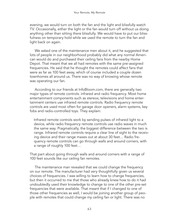evening, we would turn on both the fan and the light and blissfully watch TV. Occasionally, either the light or the fan would turn off without us doing anything other than sitting there blissfully. We would have to put our blissfulness on temporary hold while we used the remote to turn the fan and light back on again.

We asked one of the maintenance men about it, and he suggested that lots of people in our neighborhood probably did what any normal American would do and purchased their ceiling fans from the nearby Home Depot. That meant that we all had remotes with the same pre-assigned frequencies. He said that he thought the remotes could affect fans that were as far as 100 feet away, which of course included a couple dozen townhomes all around us. There was no way of knowing whose remote was operating our fan.

According to our friends at InfoBloom.com, there are generally two major types of remote controls: infrared and radio frequency. Most home entertainment components such as stereos, televisions and home entertainment centers use infrared remote controls. Radio frequency remote controls are used most often for garage door openers, alarm systems, key fobs and radio-controlled toys. They explain:

Infrared remote controls work by sending pulses of infrared light to a device, while radio frequency remote controls use radio waves in much the same way. Pragmatically, the biggest difference between the two is range. Infrared remote controls require a clear line of sight to the receiving device and their range maxes out at about 30 feet… Radio frequency remote controls can go through walls and around corners, with a range of roughly 100 feet…

That part about going through walls and around corners with a range of 100 feet sounds like our ceiling fan remotes.

The maintenance man revealed that we could change the frequency on our remote. The manufacturer had very thoughtfully given us several choices of frequencies. I was willing to learn how to change frequencies, but then it occurred to me that those who already knew how to do it had undoubtedly used their knowledge to change to one of the other pre-set frequencies that were available. That meant that if I changed to one of those other frequencies as well, I would be joining another group of people with remotes that could change my ceiling fan or light. There was no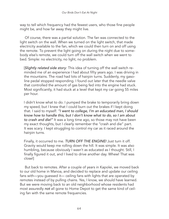way to tell which frequency had the fewest users, who those fine people might be, and how far away they might live.

Of course, there was a partial solution. The fan was connected to the light switch on the wall. When we turned on the light switch, that made electricity available to the fan, which we could then turn on and off using the remote. To prevent the light going on during the night due to somebody else's remote, we could turn off the wall switch when we went to bed. Simple: no electricity, no light, no problem.

[Slightly related side story: This idea of turning off the wall switch reminded me of an experience I had about fifty years ago. I was driving in the mountains. The road had lots of hairpin turns. Suddenly, my gasoline pedal stopped responding. I found out later that the needle valve that controlled the amount of gas being fed into the engine had stuck. Most significantly, it had stuck at a level that kept my car going 55 miles per hour.

I didn't know what to do. I pumped the brake to temporarily bring down my speed, but I knew that I could burn out the brakes if I kept doing that. I said to myself: "I went to college, I'm an educated man, I should know how to handle this, but I don't know what to do, so I am about to crash and die!" It was a long time ago, so those may not have been my exact thoughts, but I clearly remember the "crash and die" part. It was scary. I kept struggling to control my car as it raced around the hairpin turns.

Finally, it occurred to me. *TURN OFF THE ENGINE!* Just turn it off. Gravity would keep me rolling down the hill. It was simple. It was also humbling, because obviously I wasn't as educated as I thought. Still, I finally figured it out, and I lived to drive another day. Whew! That was close!]

But back to remotes. After a couple of years in Kapolei, we moved back to our old home in Manoa, and decided to replace and update our ceiling fans with—you guessed it— ceiling fans with lights that are operated by remotes instead of by pulling chains. Yes, I know, we should have learned. But we were moving back to an old neighborhood whose residents had most assuredly *not* all gone to Home Depot to get the same kind of ceiling fan with the same remote frequencies.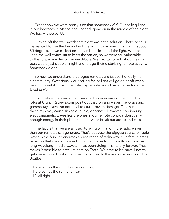Except now we were pretty sure that somebody did. Our ceiling light in our bedroom in Manoa had, indeed, gone on in the middle of the night. We had witnesses: Us.

Turning off the wall switch that night was not a solution. That's because we wanted to use the fan and not the light. It was warm that night, about 80 degrees, so we clicked on the fan but clicked off the light. We had to keep the wall switch *on* to keep the fan on, so we were still vulnerable to the rogue remotes of our neighbors. We had to hope that our neighbors would just sleep all night and forego their disturbing remote activity. Somebody didn't.

So now we understand that rogue remotes are just part of daily life in a community. Occasionally our ceiling fan or light will go on or off when we don't want it to. Your remote, my remote: we all have to live together. C'est la vie.

Fortunately, it appears that these radio waves are not harmful. The folks at CrunchReviews.com point out that ionizing waves like x-rays and gamma-rays have the potential to cause severe damage. Too much of these rays may cause sickness, burns, or cancer. However, *non*-ionizing electromagnetic waves like the ones in our remote controls don't carry enough energy in their photons to ionize or break our atoms and cells.

The fact is that we are all used to living with a lot more radio waves than our remotes can generate. That's because the biggest source of radio waves is the Sun. It generates a wide range of radio waves. In fact, it emits radiation that covers the electromagnetic spectrum from X-rays to ultralong-wavelength radio waves. It has been doing this literally forever. That makes it possible to have life here on Earth. We have to be careful not to get overexposed, but otherwise, no worries. In the immortal words of The Beatles:

Here comes the sun, doo da doo doo, Here comes the sun, and I say, It's all right.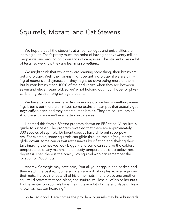## Squirrels, Mozart, and Cat Stevens

We hope that all the students at all our colleges and universities are learning a lot. That's pretty much the point of having nearly twenty million people walking around on thousands of campuses. The students pass a lot of tests, so we know they are learning *something*.

We might think that while they are learning something, their brains are getting bigger. Well, their brains might be getting bigger if we are thinking of neurons and synapses— they might be developing more of them. But human brains reach 100% of their adult size when they are between seven and eleven years old, so we're not holding out much hope for physical brain growth among college students.

We have to look elsewhere. And when we do, we find something amazing. It turns out there are, in fact, some brains on campus that actually get *physically* bigger, and they aren't human brains. They are squirrel brains. And the squirrels aren't even attending classes.

I learned this from a *Nature* program shown on PBS titled "A squirrel's guide to success." The program revealed that there are approximately 300 species of squirrels. Different species have different superpowers. For example, some squirrels can glide through the air (they mostly glide down), some can outwit rattlesnakes by inflating and shaking their tails (making themselves look bigger), and some can survive the coldest temperatures of any mammal (their body temperatures drop below zero degrees). Then there is the brainy Fox squirrel who can remember the location of 9,000 nuts.

Andrew Carnegie may have said, "put all your eggs in one basket, and then watch the basket." Some squirrels are not taking his advice regarding their nuts. If a squirrel puts all of his or her nuts in one place and another squirrel discovers that one place, the squirrel will lose all of his or her nuts for the winter. So squirrels hide their nuts in a lot of different places. This is known as "scatter hoarding."

So far, so good. Here comes the problem. Squirrels may hide hundreds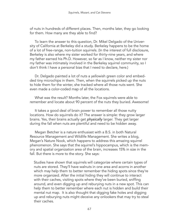of nuts in hundreds of different places. Then, months later, they go looking for them. How many are they able to find?

To learn the answer to this question, Dr. Mikel Delgado of the University of California at Berkeley did a study. Berkeley happens to be the home of a lot of free-range, non-tuition squirrels. (In the interest of full disclosure, Berkeley is also where my sister worked for thirty-nine years, and where my father earned his Ph.D. However, so far as I know, neither my sister nor my father was intimately involved in the Berkeley squirrel community, so I don't think I have a personal bias that I need to declare, here.)

Dr. Delgado painted a lot of nuts a yellowish green color and embedded tiny microchips in them. Then, when the squirrels picked up the nuts to hide them for the winter, she tracked where all those nuts went. She even made a color-coded map of all the locations.

What was the result? Months later, the Fox squirrels were able to remember and locate about 90 percent of the nuts they buried. Awesome!

It takes a good deal of brain power to remember all those nutty locations. How do squirrels do it? The answer is simple: they grow larger brains. Yes, their brains actually get *physically* larger. They get larger during the fall when nuts are plentiful and need to be hidden away.

Megan Betcher is a nature enthusiast with a B.S. in both Natural Resource Management and Wildlife Management. She writes a blog, Megan's Nature Nook, which happens to address this amazing squirrel phenomenon. She says that the squirrel's hippocampus, which is the memory and spatial organization area of the brain, increases 15% in size in the fall. But there is more to the story. She says:

Studies have shown that squirrels will categorize where certain types of nuts are stored. They'll have walnuts in one area and acorns in another which may help them to better remember the hiding spots since they're more organized. After the initial hiding they will continue to interact with their caches, visiting spots where they've been buried, sniffing around, and even digging up and reburying nuts in a new spot. This can help them to better remember where each nut is hidden and build their mental nut map. It is also thought that digging fake holes and digging up and reburying nuts might deceive any onlookers that may try to steal their caches.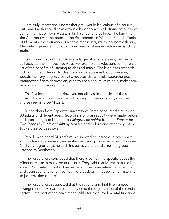I am truly impressed. I never thought I would be jealous of a squirrel, but I am. I wish I could have grown a bigger brain while trying to put away some information for my tests in high school and college. The length of the Amazon river, the dates of the Peloponnesian War, the Periodic Table of Elements, the definition of a socio-metric star, micro-economic theory, Mendelian genetics… it would have been a lot easier with an expanding brain.

Our brains may not get physically larger after age eleven, but we can still activate them in positive ways. For example, takelessons.com offers a list of ten benefits of listening to classical music. The blog cites research indicating that listening to classical music decreases blood pressure, boosts memory, sparks creativity, reduces stress levels, supercharges brainpower, fights depression, puts you to sleep, relieves pain, makes you happy, and improves productivity.

That's a lot of benefits. However, not all classical music has the same impact. For example, if you want to give your brain a boost, your best choice seems to be Mozart.

Researchers from Sapienza University of Rome conducted a study on 30 adults of different ages. Recordings of brain activity were made before and after the group listened to *L'allegro con spirito* from the *Sonata for Two Pianos in D Major K448* by Mozart, and before and after they listened to *Fur Elise* by Beethoven.

People who heard Mozart's music showed an increase in brain wave activity linked to memory, understanding, and problem-solving. However (and very regrettably), no such increases were found after the group listened to Beethoven.

The researchers concluded that there is something specific about the effect of Mozart's music on our minds. They said that Mozart's music is able to "activate" circuits of nerve cells in the brain related to attentive and cognitive functions— something that doesn't happen when listening to just *any* kind of music.

The researchers suggested that the rational and highly organized arrangement of Mozart's sonata may echo the organization of the cerebral cortex— the part of the brain responsible for high-level mental functions.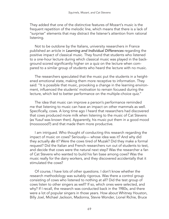They added that one of the distinctive features of Mozart's music is the frequent repetition of the melodic line, which means that there is a lack of "surprise" elements that may distract the listener's attention from rational listening.

Not to be outdone by the Italians, university researchers in France published an article in Learning and Individual Differences regarding the positive impact of classical music. They found that students who listened to a one-hour lecture during which classical music was played in the background scored significantly higher on a quiz on the lecture when compared to a similar group of students who heard the lecture with no music.

The researchers speculated that the music put the students in a heightened emotional state, making them more receptive to information. They said: "It is possible that music, provoking a change in the learning environment, influenced the students' motivation to remain focused during the lecture, which led to better performance on the multiple-choice quiz."

The idea that music can improve a person's performance reminded me that listening to music can have an impact on other mammals as well. Specifically, cows. A long time ago I heard that researchers had discovered that cows produced more milk when listening to the music of Cat Stevens (as Yusuf was known then). Apparently, his music put them in a good mood (mooooood?) and that made them more productive.

I am intrigued. Who thought of conducting this research regarding the impact of music on cows? Seriously— whose idea was it? And why did they actually do it? Were the cows tired of Muzak? Did they make a formal request? Did the Italian and French researchers run out of students to test, and decide that cows were the natural next step? Was the researcher a fan of Cat Stevens who wanted to build his fan base among cows? Was the music really for the dairy workers, and they discovered accidentally that it stimulated the cows?

Of course, I have lots of other questions. I don't know whether the research methodology was suitably rigorous. Was there a control group consisting of cows who listened to nothing at all? Did the test group of cows listen to other singers as well? If so, which ones were selected, and why? If I recall, the research was conducted back in the 1980s, and there were a lot of popular singers in those years. How about Whitney Houston, Billy Joel, Michael Jackson, Madonna, Stevie Wonder, Lionel Richie, Bruce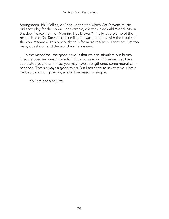Springsteen, Phil Collins, or Elton John? And which Cat Stevens music did they play for the cows? For example, did they play Wild World, Moon Shadow, Peace Train, or Morning Has Broken? Finally, at the time of the research, did Cat Stevens drink milk, and was he happy with the results of the cow research? This obviously calls for more research. There are just too many questions, and the world wants answers.

In the meantime, the good news is that we can stimulate our brains in some positive ways. Come to think of it, reading this essay may have stimulated your brain. If so, you may have strengthened some neural connections. That's always a good thing. But I am sorry to say that your brain probably did not grow physically. The reason is simple.

You are not a squirrel.